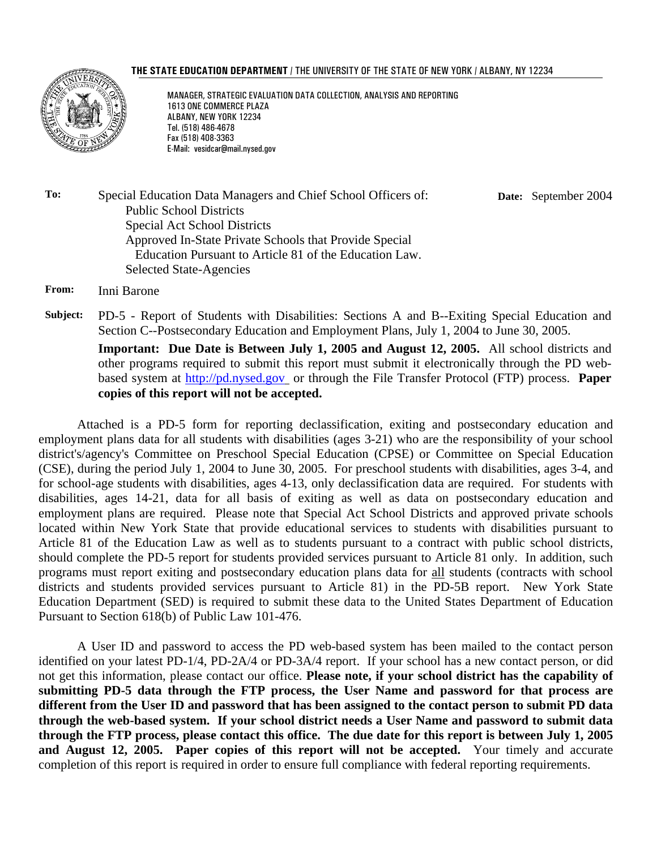#### THE STATE EDUCATION DEPARTMENT / THE UNIVERSITY OF THE STATE OF NEW YORK / ALBANY, NY 12234



MANAGER, STRATEGIC EVALUATION DATA COLLECTION, ANALYSIS AND REPORTING 1613 ONE COMMERCE PLAZA ALBANY, NEW YORK 12234 Tel. (518) 486-4678 Fax (518) 408-3363 E-Mail: vesidcar@mail.nysed.gov

**To:** Special Education Data Managers and Chief School Officers of: Public School Districts Special Act School Districts Approved In-State Private Schools that Provide Special Education Pursuant to Article 81 of the Education Law. Selected State-Agencies **Date:** September 2004

**From:** Inni Barone

**Subject:** PD-5 - Report of Students with Disabilities: Sections A and B--Exiting Special Education and Section C--Postsecondary Education and Employment Plans, July 1, 2004 to June 30, 2005. **Important: Due Date is Between July 1, 2005 and August 12, 2005.** All school districts and other programs required to submit this report must submit it electronically through the PD webbased system at http://pd.nysed.gov or through the File Transfer Protocol (FTP) process. **Paper** 

**copies of this report will not be accepted.**

Attached is a PD-5 form for reporting declassification, exiting and postsecondary education and employment plans data for all students with disabilities (ages 3-21) who are the responsibility of your school district's/agency's Committee on Preschool Special Education (CPSE) or Committee on Special Education (CSE), during the period July 1, 2004 to June 30, 2005. For preschool students with disabilities, ages 3-4, and for school-age students with disabilities, ages 4-13, only declassification data are required. For students with disabilities, ages 14-21, data for all basis of exiting as well as data on postsecondary education and employment plans are required. Please note that Special Act School Districts and approved private schools located within New York State that provide educational services to students with disabilities pursuant to Article 81 of the Education Law as well as to students pursuant to a contract with public school districts, should complete the PD-5 report for students provided services pursuant to Article 81 only. In addition, such programs must report exiting and postsecondary education plans data for all students (contracts with school districts and students provided services pursuant to Article 81) in the PD-5B report. New York State Education Department (SED) is required to submit these data to the United States Department of Education Pursuant to Section 618(b) of Public Law 101-476.

A User ID and password to access the PD web-based system has been mailed to the contact person identified on your latest PD-1/4, PD-2A/4 or PD-3A/4 report. If your school has a new contact person, or did not get this information, please contact our office. **Please note, if your school district has the capability of submitting PD-5 data through the FTP process, the User Name and password for that process are different from the User ID and password that has been assigned to the contact person to submit PD data through the web-based system. If your school district needs a User Name and password to submit data through the FTP process, please contact this office. The due date for this report is between July 1, 2005 and August 12, 2005. Paper copies of this report will not be accepted.** Your timely and accurate completion of this report is required in order to ensure full compliance with federal reporting requirements.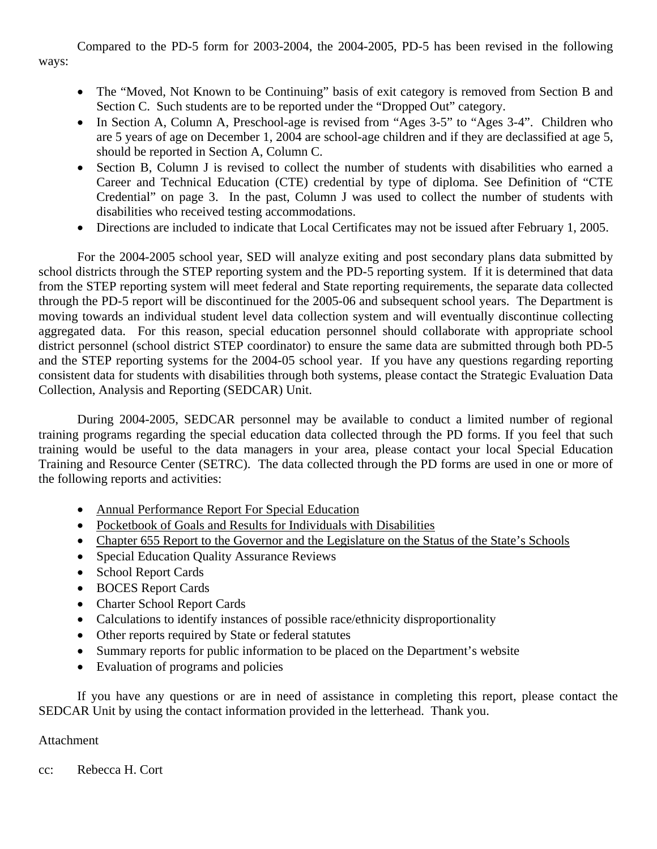Compared to the PD-5 form for 2003-2004, the 2004-2005, PD-5 has been revised in the following ways:

- The "Moved, Not Known to be Continuing" basis of exit category is removed from Section B and Section C. Such students are to be reported under the "Dropped Out" category.
- In Section A, Column A, Preschool-age is revised from "Ages 3-5" to "Ages 3-4". Children who are 5 years of age on December 1, 2004 are school-age children and if they are declassified at age 5, should be reported in Section A, Column C.
- Section B, Column J is revised to collect the number of students with disabilities who earned a Career and Technical Education (CTE) credential by type of diploma. See Definition of "CTE Credential" on page 3. In the past, Column J was used to collect the number of students with disabilities who received testing accommodations.
- Directions are included to indicate that Local Certificates may not be issued after February 1, 2005.

For the 2004-2005 school year, SED will analyze exiting and post secondary plans data submitted by school districts through the STEP reporting system and the PD-5 reporting system. If it is determined that data from the STEP reporting system will meet federal and State reporting requirements, the separate data collected through the PD-5 report will be discontinued for the 2005-06 and subsequent school years. The Department is moving towards an individual student level data collection system and will eventually discontinue collecting aggregated data. For this reason, special education personnel should collaborate with appropriate school district personnel (school district STEP coordinator) to ensure the same data are submitted through both PD-5 and the STEP reporting systems for the 2004-05 school year. If you have any questions regarding reporting consistent data for students with disabilities through both systems, please contact the Strategic Evaluation Data Collection, Analysis and Reporting (SEDCAR) Unit.

During 2004-2005, SEDCAR personnel may be available to conduct a limited number of regional training programs regarding the special education data collected through the PD forms. If you feel that such training would be useful to the data managers in your area, please contact your local Special Education Training and Resource Center (SETRC). The data collected through the PD forms are used in one or more of the following reports and activities:

- Annual Performance Report For Special Education
- Pocketbook of Goals and Results for Individuals with Disabilities
- Chapter 655 Report to the Governor and the Legislature on the Status of the State's Schools
- Special Education Quality Assurance Reviews
- School Report Cards
- BOCES Report Cards
- Charter School Report Cards
- Calculations to identify instances of possible race/ethnicity disproportionality
- Other reports required by State or federal statutes
- Summary reports for public information to be placed on the Department's website
- Evaluation of programs and policies

If you have any questions or are in need of assistance in completing this report, please contact the SEDCAR Unit by using the contact information provided in the letterhead. Thank you.

#### Attachment

cc: Rebecca H. Cort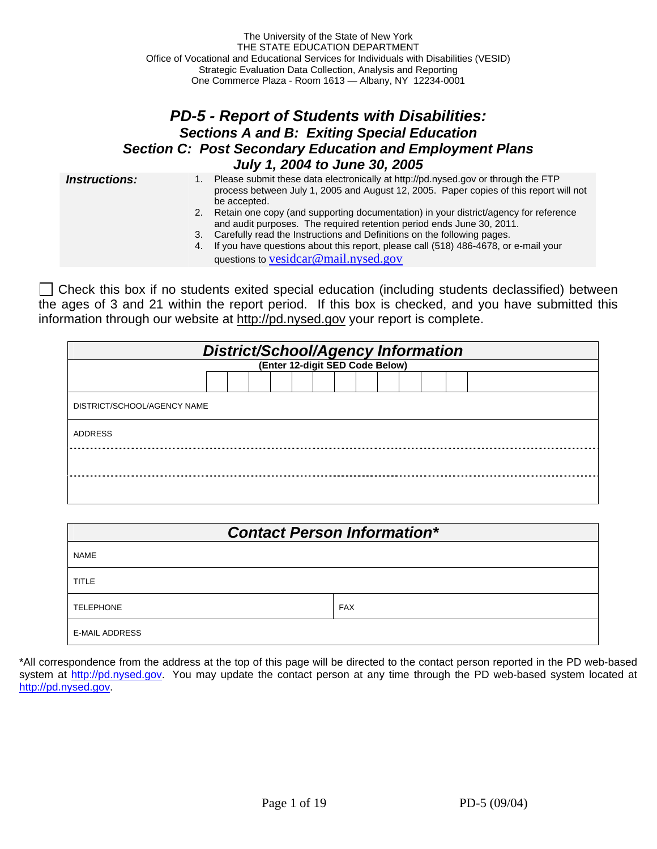### *PD-5 - Report of Students with Disabilities: Sections A and B: Exiting Special Education Section C: Post Secondary Education and Employment Plans July 1, 2004 to June 30, 2005*

- **Instructions:** 1. Please submit these data electronically at http://pd.nysed.gov or through the FTP process between July 1, 2005 and August 12, 2005. Paper copies of this report will not be accepted.
	- 2. Retain one copy (and supporting documentation) in your district/agency for reference and audit purposes. The required retention period ends June 30, 2011.
	- 3. Carefully read the Instructions and Definitions on the following pages.
	- 4. If you have questions about this report, please call (518) 486-4678, or e-mail your questions to vesidcar@mail.nysed.gov

 $\Box$  Check this box if no students exited special education (including students declassified) between the ages of 3 and 21 within the report period. If this box is checked, and you have submitted this information through our website at http://pd.nysed.gov your report is complete.

|                                 | District/School/Agency Information |  |  |  |  |  |  |  |  |  |  |  |  |  |  |
|---------------------------------|------------------------------------|--|--|--|--|--|--|--|--|--|--|--|--|--|--|
| (Enter 12-digit SED Code Below) |                                    |  |  |  |  |  |  |  |  |  |  |  |  |  |  |
|                                 |                                    |  |  |  |  |  |  |  |  |  |  |  |  |  |  |
| DISTRICT/SCHOOL/AGENCY NAME     |                                    |  |  |  |  |  |  |  |  |  |  |  |  |  |  |
| <b>ADDRESS</b>                  |                                    |  |  |  |  |  |  |  |  |  |  |  |  |  |  |
|                                 |                                    |  |  |  |  |  |  |  |  |  |  |  |  |  |  |
|                                 |                                    |  |  |  |  |  |  |  |  |  |  |  |  |  |  |

|                       | <b>Contact Person Information*</b> |
|-----------------------|------------------------------------|
| <b>NAME</b>           |                                    |
| <b>TITLE</b>          |                                    |
| <b>TELEPHONE</b>      | <b>FAX</b>                         |
| <b>E-MAIL ADDRESS</b> |                                    |

\*All correspondence from the address at the top of this page will be directed to the contact person reported in the PD web-based system at http://pd.nysed.gov. You may update the contact person at any time through the PD web-based system located at http://pd.nysed.gov.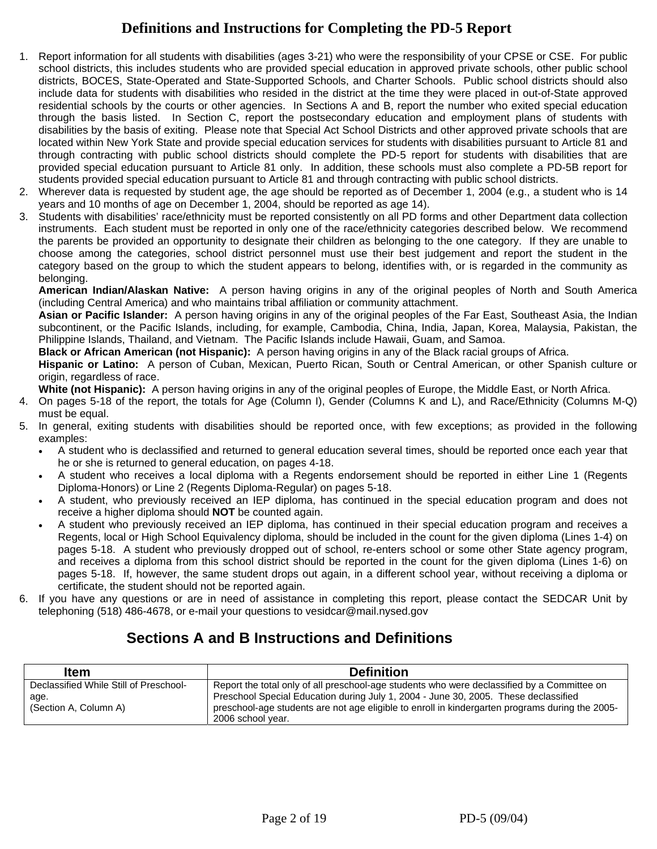## **Definitions and Instructions for Completing the PD-5 Report**

- 1. Report information for all students with disabilities (ages 3-21) who were the responsibility of your CPSE or CSE. For public school districts, this includes students who are provided special education in approved private schools, other public school districts, BOCES, State-Operated and State-Supported Schools, and Charter Schools. Public school districts should also include data for students with disabilities who resided in the district at the time they were placed in out-of-State approved residential schools by the courts or other agencies. In Sections A and B, report the number who exited special education through the basis listed. In Section C, report the postsecondary education and employment plans of students with disabilities by the basis of exiting. Please note that Special Act School Districts and other approved private schools that are located within New York State and provide special education services for students with disabilities pursuant to Article 81 and through contracting with public school districts should complete the PD-5 report for students with disabilities that are provided special education pursuant to Article 81 only. In addition, these schools must also complete a PD-5B report for students provided special education pursuant to Article 81 and through contracting with public school districts.
- 2. Wherever data is requested by student age, the age should be reported as of December 1, 2004 (e.g., a student who is 14 years and 10 months of age on December 1, 2004, should be reported as age 14).
- 3. Students with disabilities' race/ethnicity must be reported consistently on all PD forms and other Department data collection instruments. Each student must be reported in only one of the race/ethnicity categories described below. We recommend the parents be provided an opportunity to designate their children as belonging to the one category. If they are unable to choose among the categories, school district personnel must use their best judgement and report the student in the category based on the group to which the student appears to belong, identifies with, or is regarded in the community as belonging.

**American Indian/Alaskan Native:** A person having origins in any of the original peoples of North and South America (including Central America) and who maintains tribal affiliation or community attachment.

**Asian or Pacific Islander:** A person having origins in any of the original peoples of the Far East, Southeast Asia, the Indian subcontinent, or the Pacific Islands, including, for example, Cambodia, China, India, Japan, Korea, Malaysia, Pakistan, the Philippine Islands, Thailand, and Vietnam. The Pacific Islands include Hawaii, Guam, and Samoa.

**Black or African American (not Hispanic):** A person having origins in any of the Black racial groups of Africa.

**Hispanic or Latino:** A person of Cuban, Mexican, Puerto Rican, South or Central American, or other Spanish culture or origin, regardless of race.

**White (not Hispanic):** A person having origins in any of the original peoples of Europe, the Middle East, or North Africa.

- 4. On pages 5-18 of the report, the totals for Age (Column I), Gender (Columns K and L), and Race/Ethnicity (Columns M-Q) must be equal.
- 5. In general, exiting students with disabilities should be reported once, with few exceptions; as provided in the following examples:
	- A student who is declassified and returned to general education several times, should be reported once each year that he or she is returned to general education, on pages 4-18.
	- A student who receives a local diploma with a Regents endorsement should be reported in either Line 1 (Regents Diploma-Honors) or Line 2 (Regents Diploma-Regular) on pages 5-18.
	- A student, who previously received an IEP diploma, has continued in the special education program and does not receive a higher diploma should **NOT** be counted again.
	- A student who previously received an IEP diploma, has continued in their special education program and receives a Regents, local or High School Equivalency diploma, should be included in the count for the given diploma (Lines 1-4) on pages 5-18. A student who previously dropped out of school, re-enters school or some other State agency program, and receives a diploma from this school district should be reported in the count for the given diploma (Lines 1-6) on pages 5-18. If, however, the same student drops out again, in a different school year, without receiving a diploma or certificate, the student should not be reported again.
- 6. If you have any questions or are in need of assistance in completing this report, please contact the SEDCAR Unit by telephoning (518) 486-4678, or e-mail your questions to vesidcar@mail.nysed.gov

# **Sections A and B Instructions and Definitions**

| <b>Item</b>                            | <b>Definition</b>                                                                               |
|----------------------------------------|-------------------------------------------------------------------------------------------------|
| Declassified While Still of Preschool- | Report the total only of all preschool-age students who were declassified by a Committee on     |
| age.                                   | Preschool Special Education during July 1, 2004 - June 30, 2005. These declassified             |
| (Section A, Column A)                  | preschool-age students are not age eligible to enroll in kindergarten programs during the 2005- |
|                                        | 2006 school year.                                                                               |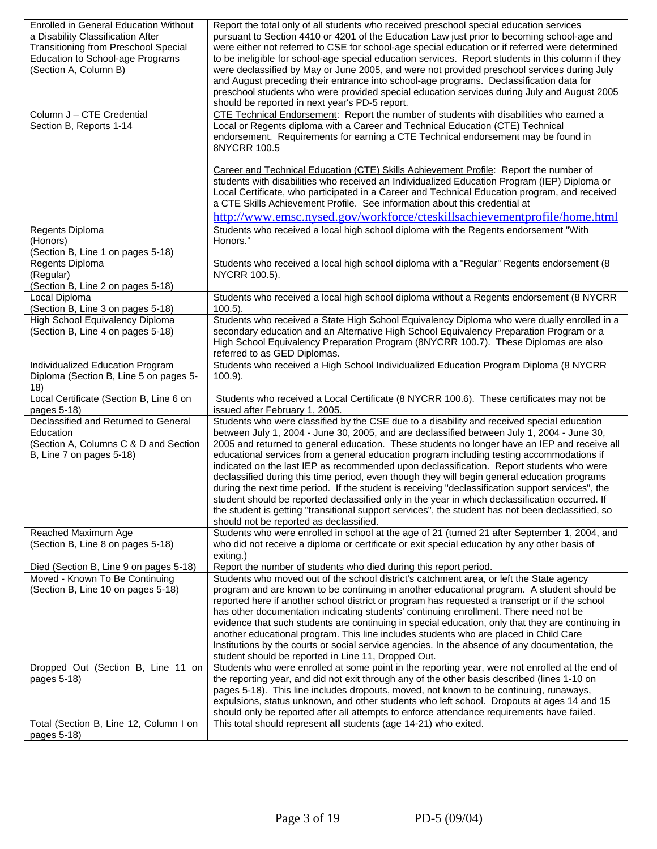| <b>Transitioning from Preschool Special</b><br>were either not referred to CSE for school-age special education or if referred were determined<br>Education to School-age Programs<br>to be ineligible for school-age special education services. Report students in this column if they<br>(Section A, Column B)<br>were declassified by May or June 2005, and were not provided preschool services during July<br>and August preceding their entrance into school-age programs. Declassification data for<br>preschool students who were provided special education services during July and August 2005<br>should be reported in next year's PD-5 report.<br>Column J - CTE Credential<br>CTE Technical Endorsement: Report the number of students with disabilities who earned a<br>Local or Regents diploma with a Career and Technical Education (CTE) Technical<br>Section B, Reports 1-14<br>endorsement. Requirements for earning a CTE Technical endorsement may be found in<br>8NYCRR 100.5<br>Career and Technical Education (CTE) Skills Achievement Profile: Report the number of<br>students with disabilities who received an Individualized Education Program (IEP) Diploma or<br>Local Certificate, who participated in a Career and Technical Education program, and received<br>a CTE Skills Achievement Profile. See information about this credential at<br>http://www.emsc.nysed.gov/workforce/cteskillsachievementprofile/home.html<br>Students who received a local high school diploma with the Regents endorsement "With<br>Regents Diploma<br>(Honors)<br>Honors."<br>(Section B, Line 1 on pages 5-18)<br>Students who received a local high school diploma with a "Regular" Regents endorsement (8<br>Regents Diploma<br>(Regular)<br>NYCRR 100.5).<br>(Section B, Line 2 on pages 5-18)<br>Students who received a local high school diploma without a Regents endorsement (8 NYCRR<br>Local Diploma<br>(Section B, Line 3 on pages 5-18)<br>$100.5$ ).<br>High School Equivalency Diploma<br>Students who received a State High School Equivalency Diploma who were dually enrolled in a<br>(Section B, Line 4 on pages 5-18)<br>secondary education and an Alternative High School Equivalency Preparation Program or a<br>High School Equivalency Preparation Program (8NYCRR 100.7). These Diplomas are also<br>referred to as GED Diplomas.<br>Students who received a High School Individualized Education Program Diploma (8 NYCRR<br>Individualized Education Program<br>Diploma (Section B, Line 5 on pages 5-<br>$100.9$ ).<br>18)<br>Local Certificate (Section B, Line 6 on<br>Students who received a Local Certificate (8 NYCRR 100.6). These certificates may not be<br>issued after February 1, 2005.<br>pages 5-18)<br>Declassified and Returned to General<br>Students who were classified by the CSE due to a disability and received special education<br>between July 1, 2004 - June 30, 2005, and are declassified between July 1, 2004 - June 30,<br>Education<br>(Section A, Columns C & D and Section<br>2005 and returned to general education. These students no longer have an IEP and receive all<br>B, Line 7 on pages 5-18)<br>educational services from a general education program including testing accommodations if<br>indicated on the last IEP as recommended upon declassification. Report students who were<br>declassified during this time period, even though they will begin general education programs<br>during the next time period. If the student is receiving "declassification support services", the<br>student should be reported declassified only in the year in which declassification occurred. If<br>the student is getting "transitional support services", the student has not been declassified, so<br>should not be reported as declassified.<br>Students who were enrolled in school at the age of 21 (turned 21 after September 1, 2004, and<br>Reached Maximum Age<br>(Section B, Line 8 on pages 5-18)<br>who did not receive a diploma or certificate or exit special education by any other basis of<br>exiting.)<br>Report the number of students who died during this report period.<br>Died (Section B, Line 9 on pages 5-18)<br>Moved - Known To Be Continuing<br>Students who moved out of the school district's catchment area, or left the State agency<br>(Section B, Line 10 on pages 5-18)<br>program and are known to be continuing in another educational program. A student should be<br>reported here if another school district or program has requested a transcript or if the school<br>has other documentation indicating students' continuing enrollment. There need not be<br>evidence that such students are continuing in special education, only that they are continuing in<br>another educational program. This line includes students who are placed in Child Care<br>Institutions by the courts or social service agencies. In the absence of any documentation, the<br>student should be reported in Line 11, Dropped Out.<br>Students who were enrolled at some point in the reporting year, were not enrolled at the end of<br>Dropped Out (Section B, Line 11 on<br>the reporting year, and did not exit through any of the other basis described (lines 1-10 on<br>pages 5-18)<br>pages 5-18). This line includes dropouts, moved, not known to be continuing, runaways,<br>expulsions, status unknown, and other students who left school. Dropouts at ages 14 and 15<br>should only be reported after all attempts to enforce attendance requirements have failed.<br>Total (Section B, Line 12, Column I on<br>This total should represent all students (age 14-21) who exited. | <b>Enrolled in General Education Without</b><br>a Disability Classification After | Report the total only of all students who received preschool special education services<br>pursuant to Section 4410 or 4201 of the Education Law just prior to becoming school-age and |
|-----------------------------------------------------------------------------------------------------------------------------------------------------------------------------------------------------------------------------------------------------------------------------------------------------------------------------------------------------------------------------------------------------------------------------------------------------------------------------------------------------------------------------------------------------------------------------------------------------------------------------------------------------------------------------------------------------------------------------------------------------------------------------------------------------------------------------------------------------------------------------------------------------------------------------------------------------------------------------------------------------------------------------------------------------------------------------------------------------------------------------------------------------------------------------------------------------------------------------------------------------------------------------------------------------------------------------------------------------------------------------------------------------------------------------------------------------------------------------------------------------------------------------------------------------------------------------------------------------------------------------------------------------------------------------------------------------------------------------------------------------------------------------------------------------------------------------------------------------------------------------------------------------------------------------------------------------------------------------------------------------------------------------------------------------------------------------------------------------------------------------------------------------------------------------------------------------------------------------------------------------------------------------------------------------------------------------------------------------------------------------------------------------------------------------------------------------------------------------------------------------------------------------------------------------------------------------------------------------------------------------------------------------------------------------------------------------------------------------------------------------------------------------------------------------------------------------------------------------------------------------------------------------------------------------------------------------------------------------------------------------------------------------------------------------------------------------------------------------------------------------------------------------------------------------------------------------------------------------------------------------------------------------------------------------------------------------------------------------------------------------------------------------------------------------------------------------------------------------------------------------------------------------------------------------------------------------------------------------------------------------------------------------------------------------------------------------------------------------------------------------------------------------------------------------------------------------------------------------------------------------------------------------------------------------------------------------------------------------------------------------------------------------------------------------------------------------------------------------------------------------------------------------------------------------------------------------------------------------------------------------------------------------------------------------------------------------------------------------------------------------------------------------------------------------------------------------------------------------------------------------------------------------------------------------------------------------------------------------------------------------------------------------------------------------------------------------------------------------------------------------------------------------------------------------------------------------------------------------------------------------------------------------------------------------------------------------------------------------------------------------------------------------------------------------------------------------------------------------------------------------------------------------------------------------------------------------------------------------------------------------------------------------------------------------------------------------------------------------------------------------------------------------------------------------------------------------------------------------------------------------------------------------------------------------------------------------------------------------------------------------------------------------------------------------------------------------------------------|-----------------------------------------------------------------------------------|----------------------------------------------------------------------------------------------------------------------------------------------------------------------------------------|
|                                                                                                                                                                                                                                                                                                                                                                                                                                                                                                                                                                                                                                                                                                                                                                                                                                                                                                                                                                                                                                                                                                                                                                                                                                                                                                                                                                                                                                                                                                                                                                                                                                                                                                                                                                                                                                                                                                                                                                                                                                                                                                                                                                                                                                                                                                                                                                                                                                                                                                                                                                                                                                                                                                                                                                                                                                                                                                                                                                                                                                                                                                                                                                                                                                                                                                                                                                                                                                                                                                                                                                                                                                                                                                                                                                                                                                                                                                                                                                                                                                                                                                                                                                                                                                                                                                                                                                                                                                                                                                                                                                                                                                                                                                                                                                                                                                                                                                                                                                                                                                                                                                                                                                                                                                                                                                                                                                                                                                                                                                                                                                                                                                                                                                                       |                                                                                   |                                                                                                                                                                                        |
|                                                                                                                                                                                                                                                                                                                                                                                                                                                                                                                                                                                                                                                                                                                                                                                                                                                                                                                                                                                                                                                                                                                                                                                                                                                                                                                                                                                                                                                                                                                                                                                                                                                                                                                                                                                                                                                                                                                                                                                                                                                                                                                                                                                                                                                                                                                                                                                                                                                                                                                                                                                                                                                                                                                                                                                                                                                                                                                                                                                                                                                                                                                                                                                                                                                                                                                                                                                                                                                                                                                                                                                                                                                                                                                                                                                                                                                                                                                                                                                                                                                                                                                                                                                                                                                                                                                                                                                                                                                                                                                                                                                                                                                                                                                                                                                                                                                                                                                                                                                                                                                                                                                                                                                                                                                                                                                                                                                                                                                                                                                                                                                                                                                                                                                       |                                                                                   |                                                                                                                                                                                        |
|                                                                                                                                                                                                                                                                                                                                                                                                                                                                                                                                                                                                                                                                                                                                                                                                                                                                                                                                                                                                                                                                                                                                                                                                                                                                                                                                                                                                                                                                                                                                                                                                                                                                                                                                                                                                                                                                                                                                                                                                                                                                                                                                                                                                                                                                                                                                                                                                                                                                                                                                                                                                                                                                                                                                                                                                                                                                                                                                                                                                                                                                                                                                                                                                                                                                                                                                                                                                                                                                                                                                                                                                                                                                                                                                                                                                                                                                                                                                                                                                                                                                                                                                                                                                                                                                                                                                                                                                                                                                                                                                                                                                                                                                                                                                                                                                                                                                                                                                                                                                                                                                                                                                                                                                                                                                                                                                                                                                                                                                                                                                                                                                                                                                                                                       |                                                                                   |                                                                                                                                                                                        |
|                                                                                                                                                                                                                                                                                                                                                                                                                                                                                                                                                                                                                                                                                                                                                                                                                                                                                                                                                                                                                                                                                                                                                                                                                                                                                                                                                                                                                                                                                                                                                                                                                                                                                                                                                                                                                                                                                                                                                                                                                                                                                                                                                                                                                                                                                                                                                                                                                                                                                                                                                                                                                                                                                                                                                                                                                                                                                                                                                                                                                                                                                                                                                                                                                                                                                                                                                                                                                                                                                                                                                                                                                                                                                                                                                                                                                                                                                                                                                                                                                                                                                                                                                                                                                                                                                                                                                                                                                                                                                                                                                                                                                                                                                                                                                                                                                                                                                                                                                                                                                                                                                                                                                                                                                                                                                                                                                                                                                                                                                                                                                                                                                                                                                                                       |                                                                                   |                                                                                                                                                                                        |
|                                                                                                                                                                                                                                                                                                                                                                                                                                                                                                                                                                                                                                                                                                                                                                                                                                                                                                                                                                                                                                                                                                                                                                                                                                                                                                                                                                                                                                                                                                                                                                                                                                                                                                                                                                                                                                                                                                                                                                                                                                                                                                                                                                                                                                                                                                                                                                                                                                                                                                                                                                                                                                                                                                                                                                                                                                                                                                                                                                                                                                                                                                                                                                                                                                                                                                                                                                                                                                                                                                                                                                                                                                                                                                                                                                                                                                                                                                                                                                                                                                                                                                                                                                                                                                                                                                                                                                                                                                                                                                                                                                                                                                                                                                                                                                                                                                                                                                                                                                                                                                                                                                                                                                                                                                                                                                                                                                                                                                                                                                                                                                                                                                                                                                                       |                                                                                   |                                                                                                                                                                                        |
|                                                                                                                                                                                                                                                                                                                                                                                                                                                                                                                                                                                                                                                                                                                                                                                                                                                                                                                                                                                                                                                                                                                                                                                                                                                                                                                                                                                                                                                                                                                                                                                                                                                                                                                                                                                                                                                                                                                                                                                                                                                                                                                                                                                                                                                                                                                                                                                                                                                                                                                                                                                                                                                                                                                                                                                                                                                                                                                                                                                                                                                                                                                                                                                                                                                                                                                                                                                                                                                                                                                                                                                                                                                                                                                                                                                                                                                                                                                                                                                                                                                                                                                                                                                                                                                                                                                                                                                                                                                                                                                                                                                                                                                                                                                                                                                                                                                                                                                                                                                                                                                                                                                                                                                                                                                                                                                                                                                                                                                                                                                                                                                                                                                                                                                       |                                                                                   |                                                                                                                                                                                        |
|                                                                                                                                                                                                                                                                                                                                                                                                                                                                                                                                                                                                                                                                                                                                                                                                                                                                                                                                                                                                                                                                                                                                                                                                                                                                                                                                                                                                                                                                                                                                                                                                                                                                                                                                                                                                                                                                                                                                                                                                                                                                                                                                                                                                                                                                                                                                                                                                                                                                                                                                                                                                                                                                                                                                                                                                                                                                                                                                                                                                                                                                                                                                                                                                                                                                                                                                                                                                                                                                                                                                                                                                                                                                                                                                                                                                                                                                                                                                                                                                                                                                                                                                                                                                                                                                                                                                                                                                                                                                                                                                                                                                                                                                                                                                                                                                                                                                                                                                                                                                                                                                                                                                                                                                                                                                                                                                                                                                                                                                                                                                                                                                                                                                                                                       |                                                                                   |                                                                                                                                                                                        |
|                                                                                                                                                                                                                                                                                                                                                                                                                                                                                                                                                                                                                                                                                                                                                                                                                                                                                                                                                                                                                                                                                                                                                                                                                                                                                                                                                                                                                                                                                                                                                                                                                                                                                                                                                                                                                                                                                                                                                                                                                                                                                                                                                                                                                                                                                                                                                                                                                                                                                                                                                                                                                                                                                                                                                                                                                                                                                                                                                                                                                                                                                                                                                                                                                                                                                                                                                                                                                                                                                                                                                                                                                                                                                                                                                                                                                                                                                                                                                                                                                                                                                                                                                                                                                                                                                                                                                                                                                                                                                                                                                                                                                                                                                                                                                                                                                                                                                                                                                                                                                                                                                                                                                                                                                                                                                                                                                                                                                                                                                                                                                                                                                                                                                                                       |                                                                                   |                                                                                                                                                                                        |
|                                                                                                                                                                                                                                                                                                                                                                                                                                                                                                                                                                                                                                                                                                                                                                                                                                                                                                                                                                                                                                                                                                                                                                                                                                                                                                                                                                                                                                                                                                                                                                                                                                                                                                                                                                                                                                                                                                                                                                                                                                                                                                                                                                                                                                                                                                                                                                                                                                                                                                                                                                                                                                                                                                                                                                                                                                                                                                                                                                                                                                                                                                                                                                                                                                                                                                                                                                                                                                                                                                                                                                                                                                                                                                                                                                                                                                                                                                                                                                                                                                                                                                                                                                                                                                                                                                                                                                                                                                                                                                                                                                                                                                                                                                                                                                                                                                                                                                                                                                                                                                                                                                                                                                                                                                                                                                                                                                                                                                                                                                                                                                                                                                                                                                                       |                                                                                   |                                                                                                                                                                                        |
|                                                                                                                                                                                                                                                                                                                                                                                                                                                                                                                                                                                                                                                                                                                                                                                                                                                                                                                                                                                                                                                                                                                                                                                                                                                                                                                                                                                                                                                                                                                                                                                                                                                                                                                                                                                                                                                                                                                                                                                                                                                                                                                                                                                                                                                                                                                                                                                                                                                                                                                                                                                                                                                                                                                                                                                                                                                                                                                                                                                                                                                                                                                                                                                                                                                                                                                                                                                                                                                                                                                                                                                                                                                                                                                                                                                                                                                                                                                                                                                                                                                                                                                                                                                                                                                                                                                                                                                                                                                                                                                                                                                                                                                                                                                                                                                                                                                                                                                                                                                                                                                                                                                                                                                                                                                                                                                                                                                                                                                                                                                                                                                                                                                                                                                       |                                                                                   |                                                                                                                                                                                        |
|                                                                                                                                                                                                                                                                                                                                                                                                                                                                                                                                                                                                                                                                                                                                                                                                                                                                                                                                                                                                                                                                                                                                                                                                                                                                                                                                                                                                                                                                                                                                                                                                                                                                                                                                                                                                                                                                                                                                                                                                                                                                                                                                                                                                                                                                                                                                                                                                                                                                                                                                                                                                                                                                                                                                                                                                                                                                                                                                                                                                                                                                                                                                                                                                                                                                                                                                                                                                                                                                                                                                                                                                                                                                                                                                                                                                                                                                                                                                                                                                                                                                                                                                                                                                                                                                                                                                                                                                                                                                                                                                                                                                                                                                                                                                                                                                                                                                                                                                                                                                                                                                                                                                                                                                                                                                                                                                                                                                                                                                                                                                                                                                                                                                                                                       |                                                                                   |                                                                                                                                                                                        |
|                                                                                                                                                                                                                                                                                                                                                                                                                                                                                                                                                                                                                                                                                                                                                                                                                                                                                                                                                                                                                                                                                                                                                                                                                                                                                                                                                                                                                                                                                                                                                                                                                                                                                                                                                                                                                                                                                                                                                                                                                                                                                                                                                                                                                                                                                                                                                                                                                                                                                                                                                                                                                                                                                                                                                                                                                                                                                                                                                                                                                                                                                                                                                                                                                                                                                                                                                                                                                                                                                                                                                                                                                                                                                                                                                                                                                                                                                                                                                                                                                                                                                                                                                                                                                                                                                                                                                                                                                                                                                                                                                                                                                                                                                                                                                                                                                                                                                                                                                                                                                                                                                                                                                                                                                                                                                                                                                                                                                                                                                                                                                                                                                                                                                                                       |                                                                                   |                                                                                                                                                                                        |
|                                                                                                                                                                                                                                                                                                                                                                                                                                                                                                                                                                                                                                                                                                                                                                                                                                                                                                                                                                                                                                                                                                                                                                                                                                                                                                                                                                                                                                                                                                                                                                                                                                                                                                                                                                                                                                                                                                                                                                                                                                                                                                                                                                                                                                                                                                                                                                                                                                                                                                                                                                                                                                                                                                                                                                                                                                                                                                                                                                                                                                                                                                                                                                                                                                                                                                                                                                                                                                                                                                                                                                                                                                                                                                                                                                                                                                                                                                                                                                                                                                                                                                                                                                                                                                                                                                                                                                                                                                                                                                                                                                                                                                                                                                                                                                                                                                                                                                                                                                                                                                                                                                                                                                                                                                                                                                                                                                                                                                                                                                                                                                                                                                                                                                                       |                                                                                   |                                                                                                                                                                                        |
|                                                                                                                                                                                                                                                                                                                                                                                                                                                                                                                                                                                                                                                                                                                                                                                                                                                                                                                                                                                                                                                                                                                                                                                                                                                                                                                                                                                                                                                                                                                                                                                                                                                                                                                                                                                                                                                                                                                                                                                                                                                                                                                                                                                                                                                                                                                                                                                                                                                                                                                                                                                                                                                                                                                                                                                                                                                                                                                                                                                                                                                                                                                                                                                                                                                                                                                                                                                                                                                                                                                                                                                                                                                                                                                                                                                                                                                                                                                                                                                                                                                                                                                                                                                                                                                                                                                                                                                                                                                                                                                                                                                                                                                                                                                                                                                                                                                                                                                                                                                                                                                                                                                                                                                                                                                                                                                                                                                                                                                                                                                                                                                                                                                                                                                       |                                                                                   |                                                                                                                                                                                        |
|                                                                                                                                                                                                                                                                                                                                                                                                                                                                                                                                                                                                                                                                                                                                                                                                                                                                                                                                                                                                                                                                                                                                                                                                                                                                                                                                                                                                                                                                                                                                                                                                                                                                                                                                                                                                                                                                                                                                                                                                                                                                                                                                                                                                                                                                                                                                                                                                                                                                                                                                                                                                                                                                                                                                                                                                                                                                                                                                                                                                                                                                                                                                                                                                                                                                                                                                                                                                                                                                                                                                                                                                                                                                                                                                                                                                                                                                                                                                                                                                                                                                                                                                                                                                                                                                                                                                                                                                                                                                                                                                                                                                                                                                                                                                                                                                                                                                                                                                                                                                                                                                                                                                                                                                                                                                                                                                                                                                                                                                                                                                                                                                                                                                                                                       |                                                                                   |                                                                                                                                                                                        |
|                                                                                                                                                                                                                                                                                                                                                                                                                                                                                                                                                                                                                                                                                                                                                                                                                                                                                                                                                                                                                                                                                                                                                                                                                                                                                                                                                                                                                                                                                                                                                                                                                                                                                                                                                                                                                                                                                                                                                                                                                                                                                                                                                                                                                                                                                                                                                                                                                                                                                                                                                                                                                                                                                                                                                                                                                                                                                                                                                                                                                                                                                                                                                                                                                                                                                                                                                                                                                                                                                                                                                                                                                                                                                                                                                                                                                                                                                                                                                                                                                                                                                                                                                                                                                                                                                                                                                                                                                                                                                                                                                                                                                                                                                                                                                                                                                                                                                                                                                                                                                                                                                                                                                                                                                                                                                                                                                                                                                                                                                                                                                                                                                                                                                                                       |                                                                                   |                                                                                                                                                                                        |
|                                                                                                                                                                                                                                                                                                                                                                                                                                                                                                                                                                                                                                                                                                                                                                                                                                                                                                                                                                                                                                                                                                                                                                                                                                                                                                                                                                                                                                                                                                                                                                                                                                                                                                                                                                                                                                                                                                                                                                                                                                                                                                                                                                                                                                                                                                                                                                                                                                                                                                                                                                                                                                                                                                                                                                                                                                                                                                                                                                                                                                                                                                                                                                                                                                                                                                                                                                                                                                                                                                                                                                                                                                                                                                                                                                                                                                                                                                                                                                                                                                                                                                                                                                                                                                                                                                                                                                                                                                                                                                                                                                                                                                                                                                                                                                                                                                                                                                                                                                                                                                                                                                                                                                                                                                                                                                                                                                                                                                                                                                                                                                                                                                                                                                                       |                                                                                   |                                                                                                                                                                                        |
|                                                                                                                                                                                                                                                                                                                                                                                                                                                                                                                                                                                                                                                                                                                                                                                                                                                                                                                                                                                                                                                                                                                                                                                                                                                                                                                                                                                                                                                                                                                                                                                                                                                                                                                                                                                                                                                                                                                                                                                                                                                                                                                                                                                                                                                                                                                                                                                                                                                                                                                                                                                                                                                                                                                                                                                                                                                                                                                                                                                                                                                                                                                                                                                                                                                                                                                                                                                                                                                                                                                                                                                                                                                                                                                                                                                                                                                                                                                                                                                                                                                                                                                                                                                                                                                                                                                                                                                                                                                                                                                                                                                                                                                                                                                                                                                                                                                                                                                                                                                                                                                                                                                                                                                                                                                                                                                                                                                                                                                                                                                                                                                                                                                                                                                       |                                                                                   |                                                                                                                                                                                        |
|                                                                                                                                                                                                                                                                                                                                                                                                                                                                                                                                                                                                                                                                                                                                                                                                                                                                                                                                                                                                                                                                                                                                                                                                                                                                                                                                                                                                                                                                                                                                                                                                                                                                                                                                                                                                                                                                                                                                                                                                                                                                                                                                                                                                                                                                                                                                                                                                                                                                                                                                                                                                                                                                                                                                                                                                                                                                                                                                                                                                                                                                                                                                                                                                                                                                                                                                                                                                                                                                                                                                                                                                                                                                                                                                                                                                                                                                                                                                                                                                                                                                                                                                                                                                                                                                                                                                                                                                                                                                                                                                                                                                                                                                                                                                                                                                                                                                                                                                                                                                                                                                                                                                                                                                                                                                                                                                                                                                                                                                                                                                                                                                                                                                                                                       |                                                                                   |                                                                                                                                                                                        |
|                                                                                                                                                                                                                                                                                                                                                                                                                                                                                                                                                                                                                                                                                                                                                                                                                                                                                                                                                                                                                                                                                                                                                                                                                                                                                                                                                                                                                                                                                                                                                                                                                                                                                                                                                                                                                                                                                                                                                                                                                                                                                                                                                                                                                                                                                                                                                                                                                                                                                                                                                                                                                                                                                                                                                                                                                                                                                                                                                                                                                                                                                                                                                                                                                                                                                                                                                                                                                                                                                                                                                                                                                                                                                                                                                                                                                                                                                                                                                                                                                                                                                                                                                                                                                                                                                                                                                                                                                                                                                                                                                                                                                                                                                                                                                                                                                                                                                                                                                                                                                                                                                                                                                                                                                                                                                                                                                                                                                                                                                                                                                                                                                                                                                                                       |                                                                                   |                                                                                                                                                                                        |
|                                                                                                                                                                                                                                                                                                                                                                                                                                                                                                                                                                                                                                                                                                                                                                                                                                                                                                                                                                                                                                                                                                                                                                                                                                                                                                                                                                                                                                                                                                                                                                                                                                                                                                                                                                                                                                                                                                                                                                                                                                                                                                                                                                                                                                                                                                                                                                                                                                                                                                                                                                                                                                                                                                                                                                                                                                                                                                                                                                                                                                                                                                                                                                                                                                                                                                                                                                                                                                                                                                                                                                                                                                                                                                                                                                                                                                                                                                                                                                                                                                                                                                                                                                                                                                                                                                                                                                                                                                                                                                                                                                                                                                                                                                                                                                                                                                                                                                                                                                                                                                                                                                                                                                                                                                                                                                                                                                                                                                                                                                                                                                                                                                                                                                                       |                                                                                   |                                                                                                                                                                                        |
|                                                                                                                                                                                                                                                                                                                                                                                                                                                                                                                                                                                                                                                                                                                                                                                                                                                                                                                                                                                                                                                                                                                                                                                                                                                                                                                                                                                                                                                                                                                                                                                                                                                                                                                                                                                                                                                                                                                                                                                                                                                                                                                                                                                                                                                                                                                                                                                                                                                                                                                                                                                                                                                                                                                                                                                                                                                                                                                                                                                                                                                                                                                                                                                                                                                                                                                                                                                                                                                                                                                                                                                                                                                                                                                                                                                                                                                                                                                                                                                                                                                                                                                                                                                                                                                                                                                                                                                                                                                                                                                                                                                                                                                                                                                                                                                                                                                                                                                                                                                                                                                                                                                                                                                                                                                                                                                                                                                                                                                                                                                                                                                                                                                                                                                       |                                                                                   |                                                                                                                                                                                        |
|                                                                                                                                                                                                                                                                                                                                                                                                                                                                                                                                                                                                                                                                                                                                                                                                                                                                                                                                                                                                                                                                                                                                                                                                                                                                                                                                                                                                                                                                                                                                                                                                                                                                                                                                                                                                                                                                                                                                                                                                                                                                                                                                                                                                                                                                                                                                                                                                                                                                                                                                                                                                                                                                                                                                                                                                                                                                                                                                                                                                                                                                                                                                                                                                                                                                                                                                                                                                                                                                                                                                                                                                                                                                                                                                                                                                                                                                                                                                                                                                                                                                                                                                                                                                                                                                                                                                                                                                                                                                                                                                                                                                                                                                                                                                                                                                                                                                                                                                                                                                                                                                                                                                                                                                                                                                                                                                                                                                                                                                                                                                                                                                                                                                                                                       |                                                                                   |                                                                                                                                                                                        |
|                                                                                                                                                                                                                                                                                                                                                                                                                                                                                                                                                                                                                                                                                                                                                                                                                                                                                                                                                                                                                                                                                                                                                                                                                                                                                                                                                                                                                                                                                                                                                                                                                                                                                                                                                                                                                                                                                                                                                                                                                                                                                                                                                                                                                                                                                                                                                                                                                                                                                                                                                                                                                                                                                                                                                                                                                                                                                                                                                                                                                                                                                                                                                                                                                                                                                                                                                                                                                                                                                                                                                                                                                                                                                                                                                                                                                                                                                                                                                                                                                                                                                                                                                                                                                                                                                                                                                                                                                                                                                                                                                                                                                                                                                                                                                                                                                                                                                                                                                                                                                                                                                                                                                                                                                                                                                                                                                                                                                                                                                                                                                                                                                                                                                                                       |                                                                                   |                                                                                                                                                                                        |
|                                                                                                                                                                                                                                                                                                                                                                                                                                                                                                                                                                                                                                                                                                                                                                                                                                                                                                                                                                                                                                                                                                                                                                                                                                                                                                                                                                                                                                                                                                                                                                                                                                                                                                                                                                                                                                                                                                                                                                                                                                                                                                                                                                                                                                                                                                                                                                                                                                                                                                                                                                                                                                                                                                                                                                                                                                                                                                                                                                                                                                                                                                                                                                                                                                                                                                                                                                                                                                                                                                                                                                                                                                                                                                                                                                                                                                                                                                                                                                                                                                                                                                                                                                                                                                                                                                                                                                                                                                                                                                                                                                                                                                                                                                                                                                                                                                                                                                                                                                                                                                                                                                                                                                                                                                                                                                                                                                                                                                                                                                                                                                                                                                                                                                                       |                                                                                   |                                                                                                                                                                                        |
|                                                                                                                                                                                                                                                                                                                                                                                                                                                                                                                                                                                                                                                                                                                                                                                                                                                                                                                                                                                                                                                                                                                                                                                                                                                                                                                                                                                                                                                                                                                                                                                                                                                                                                                                                                                                                                                                                                                                                                                                                                                                                                                                                                                                                                                                                                                                                                                                                                                                                                                                                                                                                                                                                                                                                                                                                                                                                                                                                                                                                                                                                                                                                                                                                                                                                                                                                                                                                                                                                                                                                                                                                                                                                                                                                                                                                                                                                                                                                                                                                                                                                                                                                                                                                                                                                                                                                                                                                                                                                                                                                                                                                                                                                                                                                                                                                                                                                                                                                                                                                                                                                                                                                                                                                                                                                                                                                                                                                                                                                                                                                                                                                                                                                                                       |                                                                                   |                                                                                                                                                                                        |
|                                                                                                                                                                                                                                                                                                                                                                                                                                                                                                                                                                                                                                                                                                                                                                                                                                                                                                                                                                                                                                                                                                                                                                                                                                                                                                                                                                                                                                                                                                                                                                                                                                                                                                                                                                                                                                                                                                                                                                                                                                                                                                                                                                                                                                                                                                                                                                                                                                                                                                                                                                                                                                                                                                                                                                                                                                                                                                                                                                                                                                                                                                                                                                                                                                                                                                                                                                                                                                                                                                                                                                                                                                                                                                                                                                                                                                                                                                                                                                                                                                                                                                                                                                                                                                                                                                                                                                                                                                                                                                                                                                                                                                                                                                                                                                                                                                                                                                                                                                                                                                                                                                                                                                                                                                                                                                                                                                                                                                                                                                                                                                                                                                                                                                                       |                                                                                   |                                                                                                                                                                                        |
|                                                                                                                                                                                                                                                                                                                                                                                                                                                                                                                                                                                                                                                                                                                                                                                                                                                                                                                                                                                                                                                                                                                                                                                                                                                                                                                                                                                                                                                                                                                                                                                                                                                                                                                                                                                                                                                                                                                                                                                                                                                                                                                                                                                                                                                                                                                                                                                                                                                                                                                                                                                                                                                                                                                                                                                                                                                                                                                                                                                                                                                                                                                                                                                                                                                                                                                                                                                                                                                                                                                                                                                                                                                                                                                                                                                                                                                                                                                                                                                                                                                                                                                                                                                                                                                                                                                                                                                                                                                                                                                                                                                                                                                                                                                                                                                                                                                                                                                                                                                                                                                                                                                                                                                                                                                                                                                                                                                                                                                                                                                                                                                                                                                                                                                       |                                                                                   |                                                                                                                                                                                        |
|                                                                                                                                                                                                                                                                                                                                                                                                                                                                                                                                                                                                                                                                                                                                                                                                                                                                                                                                                                                                                                                                                                                                                                                                                                                                                                                                                                                                                                                                                                                                                                                                                                                                                                                                                                                                                                                                                                                                                                                                                                                                                                                                                                                                                                                                                                                                                                                                                                                                                                                                                                                                                                                                                                                                                                                                                                                                                                                                                                                                                                                                                                                                                                                                                                                                                                                                                                                                                                                                                                                                                                                                                                                                                                                                                                                                                                                                                                                                                                                                                                                                                                                                                                                                                                                                                                                                                                                                                                                                                                                                                                                                                                                                                                                                                                                                                                                                                                                                                                                                                                                                                                                                                                                                                                                                                                                                                                                                                                                                                                                                                                                                                                                                                                                       |                                                                                   |                                                                                                                                                                                        |
|                                                                                                                                                                                                                                                                                                                                                                                                                                                                                                                                                                                                                                                                                                                                                                                                                                                                                                                                                                                                                                                                                                                                                                                                                                                                                                                                                                                                                                                                                                                                                                                                                                                                                                                                                                                                                                                                                                                                                                                                                                                                                                                                                                                                                                                                                                                                                                                                                                                                                                                                                                                                                                                                                                                                                                                                                                                                                                                                                                                                                                                                                                                                                                                                                                                                                                                                                                                                                                                                                                                                                                                                                                                                                                                                                                                                                                                                                                                                                                                                                                                                                                                                                                                                                                                                                                                                                                                                                                                                                                                                                                                                                                                                                                                                                                                                                                                                                                                                                                                                                                                                                                                                                                                                                                                                                                                                                                                                                                                                                                                                                                                                                                                                                                                       |                                                                                   |                                                                                                                                                                                        |
|                                                                                                                                                                                                                                                                                                                                                                                                                                                                                                                                                                                                                                                                                                                                                                                                                                                                                                                                                                                                                                                                                                                                                                                                                                                                                                                                                                                                                                                                                                                                                                                                                                                                                                                                                                                                                                                                                                                                                                                                                                                                                                                                                                                                                                                                                                                                                                                                                                                                                                                                                                                                                                                                                                                                                                                                                                                                                                                                                                                                                                                                                                                                                                                                                                                                                                                                                                                                                                                                                                                                                                                                                                                                                                                                                                                                                                                                                                                                                                                                                                                                                                                                                                                                                                                                                                                                                                                                                                                                                                                                                                                                                                                                                                                                                                                                                                                                                                                                                                                                                                                                                                                                                                                                                                                                                                                                                                                                                                                                                                                                                                                                                                                                                                                       |                                                                                   |                                                                                                                                                                                        |
|                                                                                                                                                                                                                                                                                                                                                                                                                                                                                                                                                                                                                                                                                                                                                                                                                                                                                                                                                                                                                                                                                                                                                                                                                                                                                                                                                                                                                                                                                                                                                                                                                                                                                                                                                                                                                                                                                                                                                                                                                                                                                                                                                                                                                                                                                                                                                                                                                                                                                                                                                                                                                                                                                                                                                                                                                                                                                                                                                                                                                                                                                                                                                                                                                                                                                                                                                                                                                                                                                                                                                                                                                                                                                                                                                                                                                                                                                                                                                                                                                                                                                                                                                                                                                                                                                                                                                                                                                                                                                                                                                                                                                                                                                                                                                                                                                                                                                                                                                                                                                                                                                                                                                                                                                                                                                                                                                                                                                                                                                                                                                                                                                                                                                                                       |                                                                                   |                                                                                                                                                                                        |
|                                                                                                                                                                                                                                                                                                                                                                                                                                                                                                                                                                                                                                                                                                                                                                                                                                                                                                                                                                                                                                                                                                                                                                                                                                                                                                                                                                                                                                                                                                                                                                                                                                                                                                                                                                                                                                                                                                                                                                                                                                                                                                                                                                                                                                                                                                                                                                                                                                                                                                                                                                                                                                                                                                                                                                                                                                                                                                                                                                                                                                                                                                                                                                                                                                                                                                                                                                                                                                                                                                                                                                                                                                                                                                                                                                                                                                                                                                                                                                                                                                                                                                                                                                                                                                                                                                                                                                                                                                                                                                                                                                                                                                                                                                                                                                                                                                                                                                                                                                                                                                                                                                                                                                                                                                                                                                                                                                                                                                                                                                                                                                                                                                                                                                                       |                                                                                   |                                                                                                                                                                                        |
|                                                                                                                                                                                                                                                                                                                                                                                                                                                                                                                                                                                                                                                                                                                                                                                                                                                                                                                                                                                                                                                                                                                                                                                                                                                                                                                                                                                                                                                                                                                                                                                                                                                                                                                                                                                                                                                                                                                                                                                                                                                                                                                                                                                                                                                                                                                                                                                                                                                                                                                                                                                                                                                                                                                                                                                                                                                                                                                                                                                                                                                                                                                                                                                                                                                                                                                                                                                                                                                                                                                                                                                                                                                                                                                                                                                                                                                                                                                                                                                                                                                                                                                                                                                                                                                                                                                                                                                                                                                                                                                                                                                                                                                                                                                                                                                                                                                                                                                                                                                                                                                                                                                                                                                                                                                                                                                                                                                                                                                                                                                                                                                                                                                                                                                       |                                                                                   |                                                                                                                                                                                        |
|                                                                                                                                                                                                                                                                                                                                                                                                                                                                                                                                                                                                                                                                                                                                                                                                                                                                                                                                                                                                                                                                                                                                                                                                                                                                                                                                                                                                                                                                                                                                                                                                                                                                                                                                                                                                                                                                                                                                                                                                                                                                                                                                                                                                                                                                                                                                                                                                                                                                                                                                                                                                                                                                                                                                                                                                                                                                                                                                                                                                                                                                                                                                                                                                                                                                                                                                                                                                                                                                                                                                                                                                                                                                                                                                                                                                                                                                                                                                                                                                                                                                                                                                                                                                                                                                                                                                                                                                                                                                                                                                                                                                                                                                                                                                                                                                                                                                                                                                                                                                                                                                                                                                                                                                                                                                                                                                                                                                                                                                                                                                                                                                                                                                                                                       |                                                                                   |                                                                                                                                                                                        |
|                                                                                                                                                                                                                                                                                                                                                                                                                                                                                                                                                                                                                                                                                                                                                                                                                                                                                                                                                                                                                                                                                                                                                                                                                                                                                                                                                                                                                                                                                                                                                                                                                                                                                                                                                                                                                                                                                                                                                                                                                                                                                                                                                                                                                                                                                                                                                                                                                                                                                                                                                                                                                                                                                                                                                                                                                                                                                                                                                                                                                                                                                                                                                                                                                                                                                                                                                                                                                                                                                                                                                                                                                                                                                                                                                                                                                                                                                                                                                                                                                                                                                                                                                                                                                                                                                                                                                                                                                                                                                                                                                                                                                                                                                                                                                                                                                                                                                                                                                                                                                                                                                                                                                                                                                                                                                                                                                                                                                                                                                                                                                                                                                                                                                                                       |                                                                                   |                                                                                                                                                                                        |
|                                                                                                                                                                                                                                                                                                                                                                                                                                                                                                                                                                                                                                                                                                                                                                                                                                                                                                                                                                                                                                                                                                                                                                                                                                                                                                                                                                                                                                                                                                                                                                                                                                                                                                                                                                                                                                                                                                                                                                                                                                                                                                                                                                                                                                                                                                                                                                                                                                                                                                                                                                                                                                                                                                                                                                                                                                                                                                                                                                                                                                                                                                                                                                                                                                                                                                                                                                                                                                                                                                                                                                                                                                                                                                                                                                                                                                                                                                                                                                                                                                                                                                                                                                                                                                                                                                                                                                                                                                                                                                                                                                                                                                                                                                                                                                                                                                                                                                                                                                                                                                                                                                                                                                                                                                                                                                                                                                                                                                                                                                                                                                                                                                                                                                                       |                                                                                   |                                                                                                                                                                                        |
|                                                                                                                                                                                                                                                                                                                                                                                                                                                                                                                                                                                                                                                                                                                                                                                                                                                                                                                                                                                                                                                                                                                                                                                                                                                                                                                                                                                                                                                                                                                                                                                                                                                                                                                                                                                                                                                                                                                                                                                                                                                                                                                                                                                                                                                                                                                                                                                                                                                                                                                                                                                                                                                                                                                                                                                                                                                                                                                                                                                                                                                                                                                                                                                                                                                                                                                                                                                                                                                                                                                                                                                                                                                                                                                                                                                                                                                                                                                                                                                                                                                                                                                                                                                                                                                                                                                                                                                                                                                                                                                                                                                                                                                                                                                                                                                                                                                                                                                                                                                                                                                                                                                                                                                                                                                                                                                                                                                                                                                                                                                                                                                                                                                                                                                       |                                                                                   |                                                                                                                                                                                        |
|                                                                                                                                                                                                                                                                                                                                                                                                                                                                                                                                                                                                                                                                                                                                                                                                                                                                                                                                                                                                                                                                                                                                                                                                                                                                                                                                                                                                                                                                                                                                                                                                                                                                                                                                                                                                                                                                                                                                                                                                                                                                                                                                                                                                                                                                                                                                                                                                                                                                                                                                                                                                                                                                                                                                                                                                                                                                                                                                                                                                                                                                                                                                                                                                                                                                                                                                                                                                                                                                                                                                                                                                                                                                                                                                                                                                                                                                                                                                                                                                                                                                                                                                                                                                                                                                                                                                                                                                                                                                                                                                                                                                                                                                                                                                                                                                                                                                                                                                                                                                                                                                                                                                                                                                                                                                                                                                                                                                                                                                                                                                                                                                                                                                                                                       |                                                                                   |                                                                                                                                                                                        |
|                                                                                                                                                                                                                                                                                                                                                                                                                                                                                                                                                                                                                                                                                                                                                                                                                                                                                                                                                                                                                                                                                                                                                                                                                                                                                                                                                                                                                                                                                                                                                                                                                                                                                                                                                                                                                                                                                                                                                                                                                                                                                                                                                                                                                                                                                                                                                                                                                                                                                                                                                                                                                                                                                                                                                                                                                                                                                                                                                                                                                                                                                                                                                                                                                                                                                                                                                                                                                                                                                                                                                                                                                                                                                                                                                                                                                                                                                                                                                                                                                                                                                                                                                                                                                                                                                                                                                                                                                                                                                                                                                                                                                                                                                                                                                                                                                                                                                                                                                                                                                                                                                                                                                                                                                                                                                                                                                                                                                                                                                                                                                                                                                                                                                                                       |                                                                                   |                                                                                                                                                                                        |
|                                                                                                                                                                                                                                                                                                                                                                                                                                                                                                                                                                                                                                                                                                                                                                                                                                                                                                                                                                                                                                                                                                                                                                                                                                                                                                                                                                                                                                                                                                                                                                                                                                                                                                                                                                                                                                                                                                                                                                                                                                                                                                                                                                                                                                                                                                                                                                                                                                                                                                                                                                                                                                                                                                                                                                                                                                                                                                                                                                                                                                                                                                                                                                                                                                                                                                                                                                                                                                                                                                                                                                                                                                                                                                                                                                                                                                                                                                                                                                                                                                                                                                                                                                                                                                                                                                                                                                                                                                                                                                                                                                                                                                                                                                                                                                                                                                                                                                                                                                                                                                                                                                                                                                                                                                                                                                                                                                                                                                                                                                                                                                                                                                                                                                                       |                                                                                   |                                                                                                                                                                                        |
|                                                                                                                                                                                                                                                                                                                                                                                                                                                                                                                                                                                                                                                                                                                                                                                                                                                                                                                                                                                                                                                                                                                                                                                                                                                                                                                                                                                                                                                                                                                                                                                                                                                                                                                                                                                                                                                                                                                                                                                                                                                                                                                                                                                                                                                                                                                                                                                                                                                                                                                                                                                                                                                                                                                                                                                                                                                                                                                                                                                                                                                                                                                                                                                                                                                                                                                                                                                                                                                                                                                                                                                                                                                                                                                                                                                                                                                                                                                                                                                                                                                                                                                                                                                                                                                                                                                                                                                                                                                                                                                                                                                                                                                                                                                                                                                                                                                                                                                                                                                                                                                                                                                                                                                                                                                                                                                                                                                                                                                                                                                                                                                                                                                                                                                       |                                                                                   |                                                                                                                                                                                        |
|                                                                                                                                                                                                                                                                                                                                                                                                                                                                                                                                                                                                                                                                                                                                                                                                                                                                                                                                                                                                                                                                                                                                                                                                                                                                                                                                                                                                                                                                                                                                                                                                                                                                                                                                                                                                                                                                                                                                                                                                                                                                                                                                                                                                                                                                                                                                                                                                                                                                                                                                                                                                                                                                                                                                                                                                                                                                                                                                                                                                                                                                                                                                                                                                                                                                                                                                                                                                                                                                                                                                                                                                                                                                                                                                                                                                                                                                                                                                                                                                                                                                                                                                                                                                                                                                                                                                                                                                                                                                                                                                                                                                                                                                                                                                                                                                                                                                                                                                                                                                                                                                                                                                                                                                                                                                                                                                                                                                                                                                                                                                                                                                                                                                                                                       |                                                                                   |                                                                                                                                                                                        |
|                                                                                                                                                                                                                                                                                                                                                                                                                                                                                                                                                                                                                                                                                                                                                                                                                                                                                                                                                                                                                                                                                                                                                                                                                                                                                                                                                                                                                                                                                                                                                                                                                                                                                                                                                                                                                                                                                                                                                                                                                                                                                                                                                                                                                                                                                                                                                                                                                                                                                                                                                                                                                                                                                                                                                                                                                                                                                                                                                                                                                                                                                                                                                                                                                                                                                                                                                                                                                                                                                                                                                                                                                                                                                                                                                                                                                                                                                                                                                                                                                                                                                                                                                                                                                                                                                                                                                                                                                                                                                                                                                                                                                                                                                                                                                                                                                                                                                                                                                                                                                                                                                                                                                                                                                                                                                                                                                                                                                                                                                                                                                                                                                                                                                                                       |                                                                                   |                                                                                                                                                                                        |
|                                                                                                                                                                                                                                                                                                                                                                                                                                                                                                                                                                                                                                                                                                                                                                                                                                                                                                                                                                                                                                                                                                                                                                                                                                                                                                                                                                                                                                                                                                                                                                                                                                                                                                                                                                                                                                                                                                                                                                                                                                                                                                                                                                                                                                                                                                                                                                                                                                                                                                                                                                                                                                                                                                                                                                                                                                                                                                                                                                                                                                                                                                                                                                                                                                                                                                                                                                                                                                                                                                                                                                                                                                                                                                                                                                                                                                                                                                                                                                                                                                                                                                                                                                                                                                                                                                                                                                                                                                                                                                                                                                                                                                                                                                                                                                                                                                                                                                                                                                                                                                                                                                                                                                                                                                                                                                                                                                                                                                                                                                                                                                                                                                                                                                                       |                                                                                   |                                                                                                                                                                                        |
|                                                                                                                                                                                                                                                                                                                                                                                                                                                                                                                                                                                                                                                                                                                                                                                                                                                                                                                                                                                                                                                                                                                                                                                                                                                                                                                                                                                                                                                                                                                                                                                                                                                                                                                                                                                                                                                                                                                                                                                                                                                                                                                                                                                                                                                                                                                                                                                                                                                                                                                                                                                                                                                                                                                                                                                                                                                                                                                                                                                                                                                                                                                                                                                                                                                                                                                                                                                                                                                                                                                                                                                                                                                                                                                                                                                                                                                                                                                                                                                                                                                                                                                                                                                                                                                                                                                                                                                                                                                                                                                                                                                                                                                                                                                                                                                                                                                                                                                                                                                                                                                                                                                                                                                                                                                                                                                                                                                                                                                                                                                                                                                                                                                                                                                       |                                                                                   |                                                                                                                                                                                        |
|                                                                                                                                                                                                                                                                                                                                                                                                                                                                                                                                                                                                                                                                                                                                                                                                                                                                                                                                                                                                                                                                                                                                                                                                                                                                                                                                                                                                                                                                                                                                                                                                                                                                                                                                                                                                                                                                                                                                                                                                                                                                                                                                                                                                                                                                                                                                                                                                                                                                                                                                                                                                                                                                                                                                                                                                                                                                                                                                                                                                                                                                                                                                                                                                                                                                                                                                                                                                                                                                                                                                                                                                                                                                                                                                                                                                                                                                                                                                                                                                                                                                                                                                                                                                                                                                                                                                                                                                                                                                                                                                                                                                                                                                                                                                                                                                                                                                                                                                                                                                                                                                                                                                                                                                                                                                                                                                                                                                                                                                                                                                                                                                                                                                                                                       |                                                                                   |                                                                                                                                                                                        |
|                                                                                                                                                                                                                                                                                                                                                                                                                                                                                                                                                                                                                                                                                                                                                                                                                                                                                                                                                                                                                                                                                                                                                                                                                                                                                                                                                                                                                                                                                                                                                                                                                                                                                                                                                                                                                                                                                                                                                                                                                                                                                                                                                                                                                                                                                                                                                                                                                                                                                                                                                                                                                                                                                                                                                                                                                                                                                                                                                                                                                                                                                                                                                                                                                                                                                                                                                                                                                                                                                                                                                                                                                                                                                                                                                                                                                                                                                                                                                                                                                                                                                                                                                                                                                                                                                                                                                                                                                                                                                                                                                                                                                                                                                                                                                                                                                                                                                                                                                                                                                                                                                                                                                                                                                                                                                                                                                                                                                                                                                                                                                                                                                                                                                                                       | pages 5-18)                                                                       |                                                                                                                                                                                        |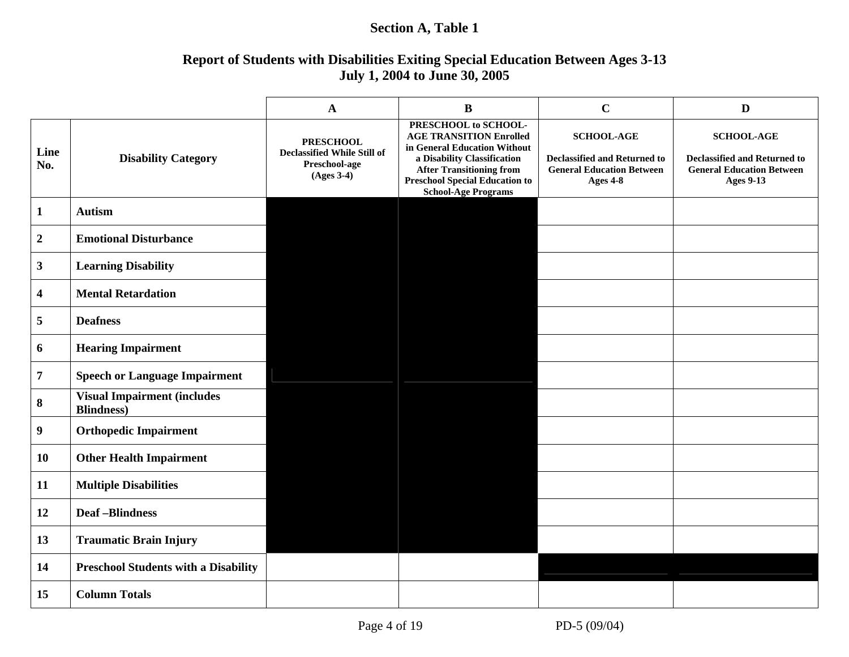#### **Section A, Table 1**

### **Report of Students with Disabilities Exiting Special Education Between Ages 3-13 July 1, 2004 to June 30, 2005**

|                  |                                                          | $\mathbf{A}$                                                                            | $\bf{B}$                                                                                                                                                                                                                        | $\mathbf C$                                                                                              | $\mathbf{D}$                                                                                                     |
|------------------|----------------------------------------------------------|-----------------------------------------------------------------------------------------|---------------------------------------------------------------------------------------------------------------------------------------------------------------------------------------------------------------------------------|----------------------------------------------------------------------------------------------------------|------------------------------------------------------------------------------------------------------------------|
| Line<br>No.      | <b>Disability Category</b>                               | <b>PRESCHOOL</b><br><b>Declassified While Still of</b><br>Preschool-age<br>$(Ages 3-4)$ | PRESCHOOL to SCHOOL-<br><b>AGE TRANSITION Enrolled</b><br>in General Education Without<br>a Disability Classification<br><b>After Transitioning from</b><br><b>Preschool Special Education to</b><br><b>School-Age Programs</b> | <b>SCHOOL-AGE</b><br><b>Declassified and Returned to</b><br><b>General Education Between</b><br>Ages 4-8 | <b>SCHOOL-AGE</b><br><b>Declassified and Returned to</b><br><b>General Education Between</b><br><b>Ages 9-13</b> |
| $\mathbf{1}$     | <b>Autism</b>                                            |                                                                                         |                                                                                                                                                                                                                                 |                                                                                                          |                                                                                                                  |
| $\boldsymbol{2}$ | <b>Emotional Disturbance</b>                             |                                                                                         |                                                                                                                                                                                                                                 |                                                                                                          |                                                                                                                  |
| $\mathbf{3}$     | <b>Learning Disability</b>                               |                                                                                         |                                                                                                                                                                                                                                 |                                                                                                          |                                                                                                                  |
| 4                | <b>Mental Retardation</b>                                |                                                                                         |                                                                                                                                                                                                                                 |                                                                                                          |                                                                                                                  |
| 5                | <b>Deafness</b>                                          |                                                                                         |                                                                                                                                                                                                                                 |                                                                                                          |                                                                                                                  |
| 6                | <b>Hearing Impairment</b>                                |                                                                                         |                                                                                                                                                                                                                                 |                                                                                                          |                                                                                                                  |
| $\overline{7}$   | <b>Speech or Language Impairment</b>                     |                                                                                         |                                                                                                                                                                                                                                 |                                                                                                          |                                                                                                                  |
| 8                | <b>Visual Impairment (includes</b><br><b>Blindness</b> ) |                                                                                         |                                                                                                                                                                                                                                 |                                                                                                          |                                                                                                                  |
| 9                | <b>Orthopedic Impairment</b>                             |                                                                                         |                                                                                                                                                                                                                                 |                                                                                                          |                                                                                                                  |
| 10               | <b>Other Health Impairment</b>                           |                                                                                         |                                                                                                                                                                                                                                 |                                                                                                          |                                                                                                                  |
| 11               | <b>Multiple Disabilities</b>                             |                                                                                         |                                                                                                                                                                                                                                 |                                                                                                          |                                                                                                                  |
| 12               | <b>Deaf-Blindness</b>                                    |                                                                                         |                                                                                                                                                                                                                                 |                                                                                                          |                                                                                                                  |
| 13               | <b>Traumatic Brain Injury</b>                            |                                                                                         |                                                                                                                                                                                                                                 |                                                                                                          |                                                                                                                  |
| 14               | <b>Preschool Students with a Disability</b>              |                                                                                         |                                                                                                                                                                                                                                 |                                                                                                          |                                                                                                                  |
| 15               | <b>Column Totals</b>                                     |                                                                                         |                                                                                                                                                                                                                                 |                                                                                                          |                                                                                                                  |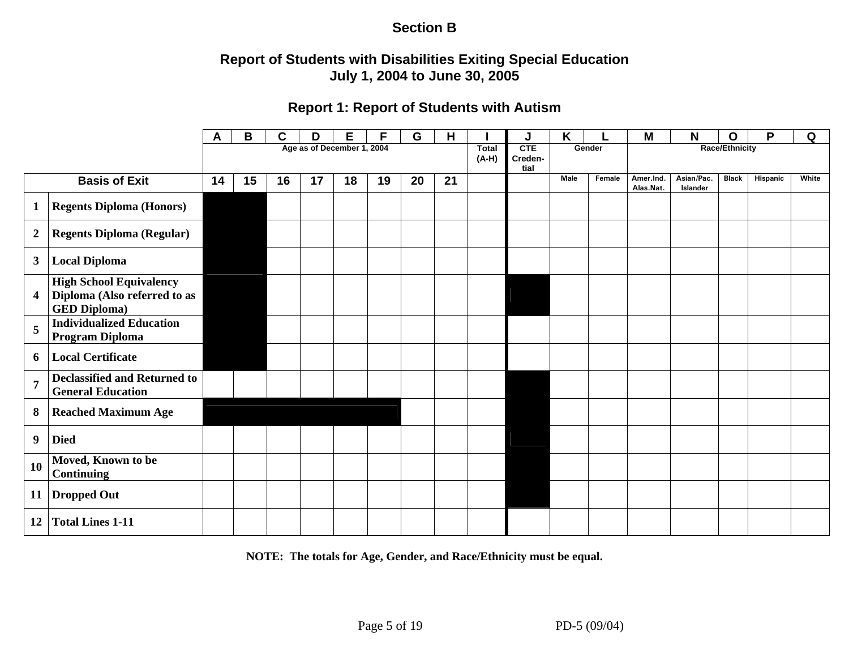### **Section B**

### **Report of Students with Disabilities Exiting Special Education July 1, 2004 to June 30, 2005**

#### **Report 1: Report of Students with Autism**

|                  |                                                                                       | A  | В  | C  | D  | Е                          | F  | G  | H  |                         | J                      | K           |        | M                      | N                      | O              | P        | Q     |
|------------------|---------------------------------------------------------------------------------------|----|----|----|----|----------------------------|----|----|----|-------------------------|------------------------|-------------|--------|------------------------|------------------------|----------------|----------|-------|
|                  |                                                                                       |    |    |    |    | Age as of December 1, 2004 |    |    |    | <b>Total</b><br>$(A-H)$ | CTE<br>Creden-<br>tial | Gender      |        |                        |                        | Race/Ethnicity |          |       |
|                  | <b>Basis of Exit</b>                                                                  | 14 | 15 | 16 | 17 | 18                         | 19 | 20 | 21 |                         |                        | <b>Male</b> | Female | Amer.Ind.<br>Alas.Nat. | Asian/Pac.<br>Islander | <b>Black</b>   | Hispanic | White |
| $\mathbf{1}$     | <b>Regents Diploma (Honors)</b>                                                       |    |    |    |    |                            |    |    |    |                         |                        |             |        |                        |                        |                |          |       |
| $\boldsymbol{2}$ | <b>Regents Diploma (Regular)</b>                                                      |    |    |    |    |                            |    |    |    |                         |                        |             |        |                        |                        |                |          |       |
| $\mathbf{3}$     | <b>Local Diploma</b>                                                                  |    |    |    |    |                            |    |    |    |                         |                        |             |        |                        |                        |                |          |       |
| 4                | <b>High School Equivalency</b><br>Diploma (Also referred to as<br><b>GED Diploma)</b> |    |    |    |    |                            |    |    |    |                         |                        |             |        |                        |                        |                |          |       |
| 5                | <b>Individualized Education</b><br>Program Diploma                                    |    |    |    |    |                            |    |    |    |                         |                        |             |        |                        |                        |                |          |       |
| 6                | <b>Local Certificate</b>                                                              |    |    |    |    |                            |    |    |    |                         |                        |             |        |                        |                        |                |          |       |
| $\overline{7}$   | <b>Declassified and Returned to</b><br><b>General Education</b>                       |    |    |    |    |                            |    |    |    |                         |                        |             |        |                        |                        |                |          |       |
| 8                | <b>Reached Maximum Age</b>                                                            |    |    |    |    |                            |    |    |    |                         |                        |             |        |                        |                        |                |          |       |
| 9                | <b>Died</b>                                                                           |    |    |    |    |                            |    |    |    |                         |                        |             |        |                        |                        |                |          |       |
| 10               | Moved, Known to be<br><b>Continuing</b>                                               |    |    |    |    |                            |    |    |    |                         |                        |             |        |                        |                        |                |          |       |
| 11               | <b>Dropped Out</b>                                                                    |    |    |    |    |                            |    |    |    |                         |                        |             |        |                        |                        |                |          |       |
| 12               | <b>Total Lines 1-11</b>                                                               |    |    |    |    |                            |    |    |    |                         |                        |             |        |                        |                        |                |          |       |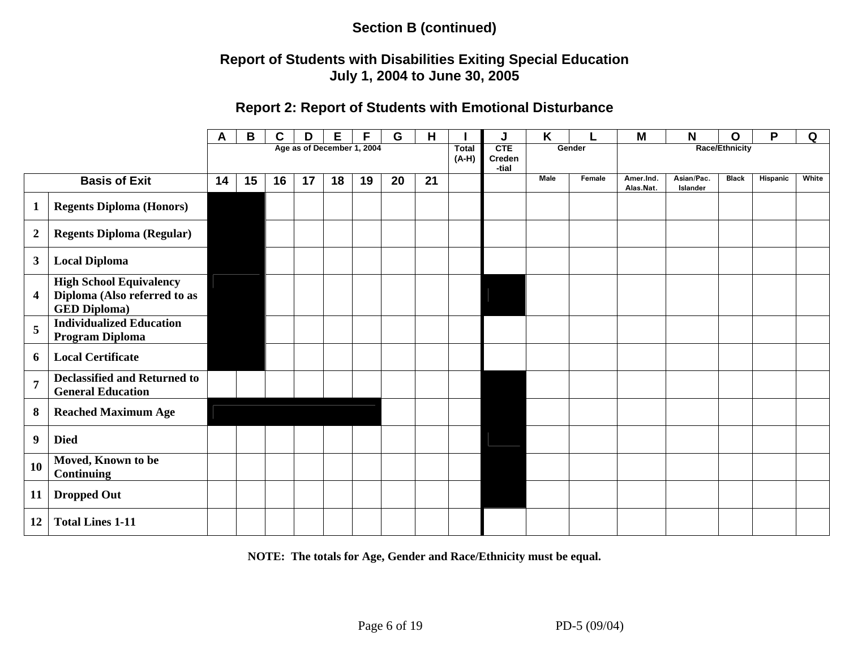### **Report of Students with Disabilities Exiting Special Education July 1, 2004 to June 30, 2005**

#### **Report 2: Report of Students with Emotional Disturbance**

|                         |                                                                                       | A  | В  | C  | D  | Е  |                            | G  | Н  |                         | J                      | K           |        | M                      | N                      | O                     | P        | Q     |
|-------------------------|---------------------------------------------------------------------------------------|----|----|----|----|----|----------------------------|----|----|-------------------------|------------------------|-------------|--------|------------------------|------------------------|-----------------------|----------|-------|
|                         |                                                                                       |    |    |    |    |    | Age as of December 1, 2004 |    |    | <b>Total</b><br>$(A-H)$ | CTE<br>Creden<br>-tial |             | Gender |                        |                        | <b>Race/Ethnicity</b> |          |       |
|                         | <b>Basis of Exit</b>                                                                  | 14 | 15 | 16 | 17 | 18 | 19                         | 20 | 21 |                         |                        | <b>Male</b> | Female | Amer.Ind.<br>Alas.Nat. | Asian/Pac.<br>Islander | <b>Black</b>          | Hispanic | White |
| $\mathbf{1}$            | <b>Regents Diploma (Honors)</b>                                                       |    |    |    |    |    |                            |    |    |                         |                        |             |        |                        |                        |                       |          |       |
| $\boldsymbol{2}$        | <b>Regents Diploma (Regular)</b>                                                      |    |    |    |    |    |                            |    |    |                         |                        |             |        |                        |                        |                       |          |       |
| $\mathbf{3}$            | <b>Local Diploma</b>                                                                  |    |    |    |    |    |                            |    |    |                         |                        |             |        |                        |                        |                       |          |       |
| $\overline{\mathbf{4}}$ | <b>High School Equivalency</b><br>Diploma (Also referred to as<br><b>GED Diploma)</b> |    |    |    |    |    |                            |    |    |                         |                        |             |        |                        |                        |                       |          |       |
| 5                       | <b>Individualized Education</b><br><b>Program Diploma</b>                             |    |    |    |    |    |                            |    |    |                         |                        |             |        |                        |                        |                       |          |       |
| 6                       | <b>Local Certificate</b>                                                              |    |    |    |    |    |                            |    |    |                         |                        |             |        |                        |                        |                       |          |       |
| $\overline{7}$          | <b>Declassified and Returned to</b><br><b>General Education</b>                       |    |    |    |    |    |                            |    |    |                         |                        |             |        |                        |                        |                       |          |       |
| 8                       | <b>Reached Maximum Age</b>                                                            |    |    |    |    |    |                            |    |    |                         |                        |             |        |                        |                        |                       |          |       |
| $\boldsymbol{9}$        | <b>Died</b>                                                                           |    |    |    |    |    |                            |    |    |                         |                        |             |        |                        |                        |                       |          |       |
| <b>10</b>               | Moved, Known to be<br><b>Continuing</b>                                               |    |    |    |    |    |                            |    |    |                         |                        |             |        |                        |                        |                       |          |       |
| 11                      | <b>Dropped Out</b>                                                                    |    |    |    |    |    |                            |    |    |                         |                        |             |        |                        |                        |                       |          |       |
| 12                      | <b>Total Lines 1-11</b>                                                               |    |    |    |    |    |                            |    |    |                         |                        |             |        |                        |                        |                       |          |       |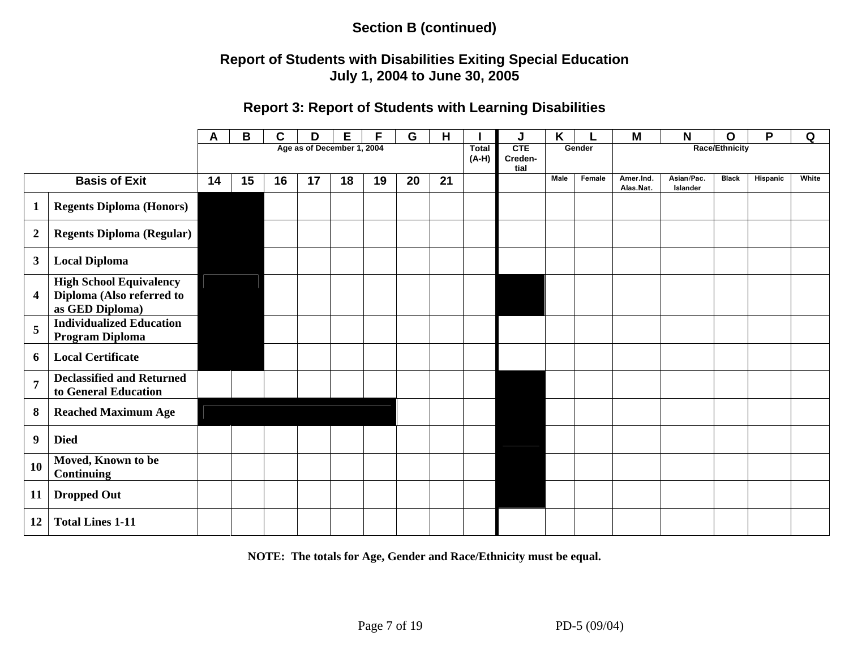### **Report of Students with Disabilities Exiting Special Education July 1, 2004 to June 30, 2005**

#### **Report 3: Report of Students with Learning Disabilities**

|                  |                                                                                | A  | B  | С  | D                          | Е  | F  | G  | Н  |                         | J                             | Κ           |        | M                      | N                      | O                     | P        | Q     |
|------------------|--------------------------------------------------------------------------------|----|----|----|----------------------------|----|----|----|----|-------------------------|-------------------------------|-------------|--------|------------------------|------------------------|-----------------------|----------|-------|
|                  |                                                                                |    |    |    | Age as of December 1, 2004 |    |    |    |    | <b>Total</b><br>$(A-H)$ | <b>CTE</b><br>Creden-<br>tial |             | Gender |                        |                        | <b>Race/Ethnicity</b> |          |       |
|                  | <b>Basis of Exit</b>                                                           | 14 | 15 | 16 | 17                         | 18 | 19 | 20 | 21 |                         |                               | <b>Male</b> | Female | Amer.Ind.<br>Alas.Nat. | Asian/Pac.<br>Islander | <b>Black</b>          | Hispanic | White |
| $\mathbf{1}$     | <b>Regents Diploma (Honors)</b>                                                |    |    |    |                            |    |    |    |    |                         |                               |             |        |                        |                        |                       |          |       |
| $\boldsymbol{2}$ | <b>Regents Diploma (Regular)</b>                                               |    |    |    |                            |    |    |    |    |                         |                               |             |        |                        |                        |                       |          |       |
| $\mathbf{3}$     | <b>Local Diploma</b>                                                           |    |    |    |                            |    |    |    |    |                         |                               |             |        |                        |                        |                       |          |       |
| 4                | <b>High School Equivalency</b><br>Diploma (Also referred to<br>as GED Diploma) |    |    |    |                            |    |    |    |    |                         |                               |             |        |                        |                        |                       |          |       |
| 5                | <b>Individualized Education</b><br>Program Diploma                             |    |    |    |                            |    |    |    |    |                         |                               |             |        |                        |                        |                       |          |       |
| 6                | <b>Local Certificate</b>                                                       |    |    |    |                            |    |    |    |    |                         |                               |             |        |                        |                        |                       |          |       |
| $\overline{7}$   | <b>Declassified and Returned</b><br>to General Education                       |    |    |    |                            |    |    |    |    |                         |                               |             |        |                        |                        |                       |          |       |
| 8                | <b>Reached Maximum Age</b>                                                     |    |    |    |                            |    |    |    |    |                         |                               |             |        |                        |                        |                       |          |       |
| 9                | <b>Died</b>                                                                    |    |    |    |                            |    |    |    |    |                         |                               |             |        |                        |                        |                       |          |       |
| 10               | Moved, Known to be<br><b>Continuing</b>                                        |    |    |    |                            |    |    |    |    |                         |                               |             |        |                        |                        |                       |          |       |
| 11               | <b>Dropped Out</b>                                                             |    |    |    |                            |    |    |    |    |                         |                               |             |        |                        |                        |                       |          |       |
| 12               | <b>Total Lines 1-11</b>                                                        |    |    |    |                            |    |    |    |    |                         |                               |             |        |                        |                        |                       |          |       |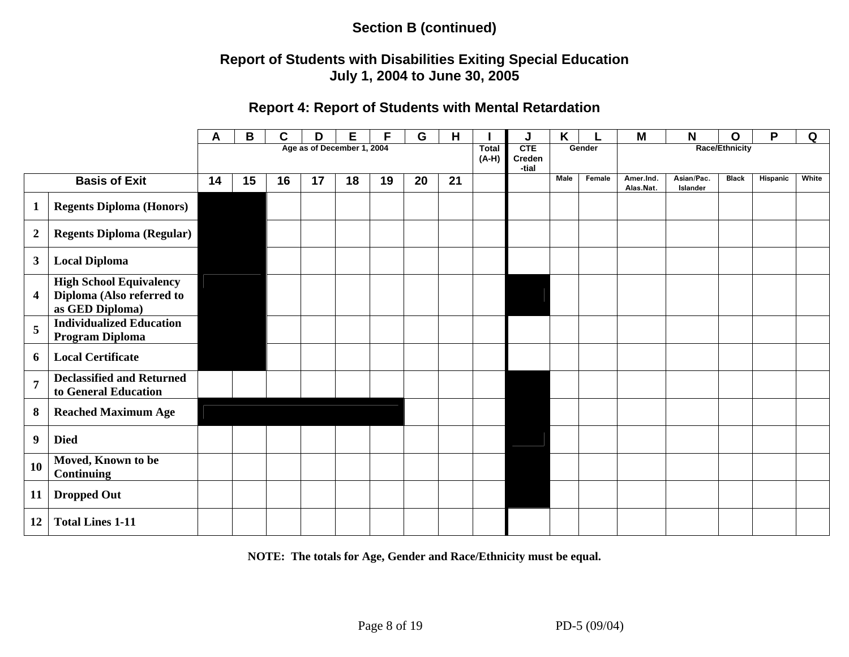### **Report of Students with Disabilities Exiting Special Education July 1, 2004 to June 30, 2005**

#### **Report 4: Report of Students with Mental Retardation**

|                  |                                                                                | Α  | B  | C  | D  | Е                          |    | G  | н  |                         |                        | K           |        | M                      | N                      | О              | P        | Q     |
|------------------|--------------------------------------------------------------------------------|----|----|----|----|----------------------------|----|----|----|-------------------------|------------------------|-------------|--------|------------------------|------------------------|----------------|----------|-------|
|                  |                                                                                |    |    |    |    | Age as of December 1, 2004 |    |    |    | <b>Total</b><br>$(A-H)$ | CTE<br>Creden<br>-tial |             | Gender |                        |                        | Race/Ethnicity |          |       |
|                  | <b>Basis of Exit</b>                                                           | 14 | 15 | 16 | 17 | 18                         | 19 | 20 | 21 |                         |                        | <b>Male</b> | Female | Amer.Ind.<br>Alas.Nat. | Asian/Pac.<br>Islander | <b>Black</b>   | Hispanic | White |
| $\mathbf{1}$     | <b>Regents Diploma (Honors)</b>                                                |    |    |    |    |                            |    |    |    |                         |                        |             |        |                        |                        |                |          |       |
| $\boldsymbol{2}$ | <b>Regents Diploma (Regular)</b>                                               |    |    |    |    |                            |    |    |    |                         |                        |             |        |                        |                        |                |          |       |
| $\mathbf{3}$     | <b>Local Diploma</b>                                                           |    |    |    |    |                            |    |    |    |                         |                        |             |        |                        |                        |                |          |       |
| 4                | <b>High School Equivalency</b><br>Diploma (Also referred to<br>as GED Diploma) |    |    |    |    |                            |    |    |    |                         |                        |             |        |                        |                        |                |          |       |
| 5                | <b>Individualized Education</b><br>Program Diploma                             |    |    |    |    |                            |    |    |    |                         |                        |             |        |                        |                        |                |          |       |
| 6                | <b>Local Certificate</b>                                                       |    |    |    |    |                            |    |    |    |                         |                        |             |        |                        |                        |                |          |       |
| $\overline{7}$   | <b>Declassified and Returned</b><br>to General Education                       |    |    |    |    |                            |    |    |    |                         |                        |             |        |                        |                        |                |          |       |
| 8                | <b>Reached Maximum Age</b>                                                     |    |    |    |    |                            |    |    |    |                         |                        |             |        |                        |                        |                |          |       |
| 9                | <b>Died</b>                                                                    |    |    |    |    |                            |    |    |    |                         |                        |             |        |                        |                        |                |          |       |
| 10               | Moved, Known to be<br><b>Continuing</b>                                        |    |    |    |    |                            |    |    |    |                         |                        |             |        |                        |                        |                |          |       |
| 11               | <b>Dropped Out</b>                                                             |    |    |    |    |                            |    |    |    |                         |                        |             |        |                        |                        |                |          |       |
| 12               | <b>Total Lines 1-11</b>                                                        |    |    |    |    |                            |    |    |    |                         |                        |             |        |                        |                        |                |          |       |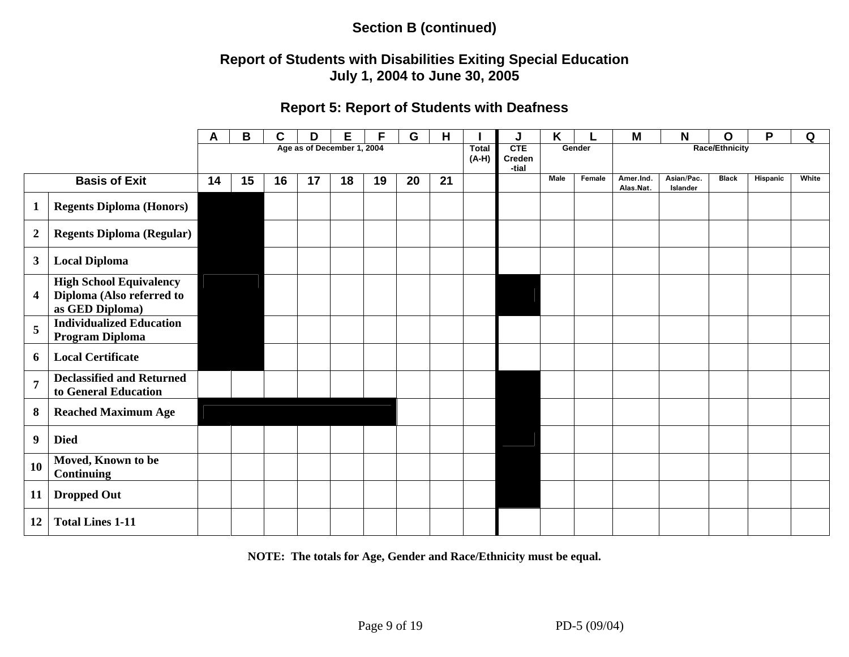### **Report of Students with Disabilities Exiting Special Education July 1, 2004 to June 30, 2005**

#### **Report 5: Report of Students with Deafness**

|                  |                                                                                | A  | B  | C  | D                          | E  | F  | G  | Н  |                         | J                      | K           |        | M                      | N                      | O                     | P        | Q     |
|------------------|--------------------------------------------------------------------------------|----|----|----|----------------------------|----|----|----|----|-------------------------|------------------------|-------------|--------|------------------------|------------------------|-----------------------|----------|-------|
|                  |                                                                                |    |    |    | Age as of December 1, 2004 |    |    |    |    | <b>Total</b><br>$(A-H)$ | CTE<br>Creden<br>-tial |             | Gender |                        |                        | <b>Race/Ethnicity</b> |          |       |
|                  | <b>Basis of Exit</b>                                                           | 14 | 15 | 16 | 17                         | 18 | 19 | 20 | 21 |                         |                        | <b>Male</b> | Female | Amer.Ind.<br>Alas.Nat. | Asian/Pac.<br>Islander | <b>Black</b>          | Hispanic | White |
| $\mathbf{1}$     | <b>Regents Diploma (Honors)</b>                                                |    |    |    |                            |    |    |    |    |                         |                        |             |        |                        |                        |                       |          |       |
| $\boldsymbol{2}$ | <b>Regents Diploma (Regular)</b>                                               |    |    |    |                            |    |    |    |    |                         |                        |             |        |                        |                        |                       |          |       |
| $\mathbf{3}$     | <b>Local Diploma</b>                                                           |    |    |    |                            |    |    |    |    |                         |                        |             |        |                        |                        |                       |          |       |
| 4                | <b>High School Equivalency</b><br>Diploma (Also referred to<br>as GED Diploma) |    |    |    |                            |    |    |    |    |                         |                        |             |        |                        |                        |                       |          |       |
| 5                | <b>Individualized Education</b><br>Program Diploma                             |    |    |    |                            |    |    |    |    |                         |                        |             |        |                        |                        |                       |          |       |
| 6                | <b>Local Certificate</b>                                                       |    |    |    |                            |    |    |    |    |                         |                        |             |        |                        |                        |                       |          |       |
| $\overline{7}$   | <b>Declassified and Returned</b><br>to General Education                       |    |    |    |                            |    |    |    |    |                         |                        |             |        |                        |                        |                       |          |       |
| 8                | <b>Reached Maximum Age</b>                                                     |    |    |    |                            |    |    |    |    |                         |                        |             |        |                        |                        |                       |          |       |
| 9                | <b>Died</b>                                                                    |    |    |    |                            |    |    |    |    |                         |                        |             |        |                        |                        |                       |          |       |
| 10               | Moved, Known to be<br><b>Continuing</b>                                        |    |    |    |                            |    |    |    |    |                         |                        |             |        |                        |                        |                       |          |       |
| 11               | <b>Dropped Out</b>                                                             |    |    |    |                            |    |    |    |    |                         |                        |             |        |                        |                        |                       |          |       |
| 12               | <b>Total Lines 1-11</b>                                                        |    |    |    |                            |    |    |    |    |                         |                        |             |        |                        |                        |                       |          |       |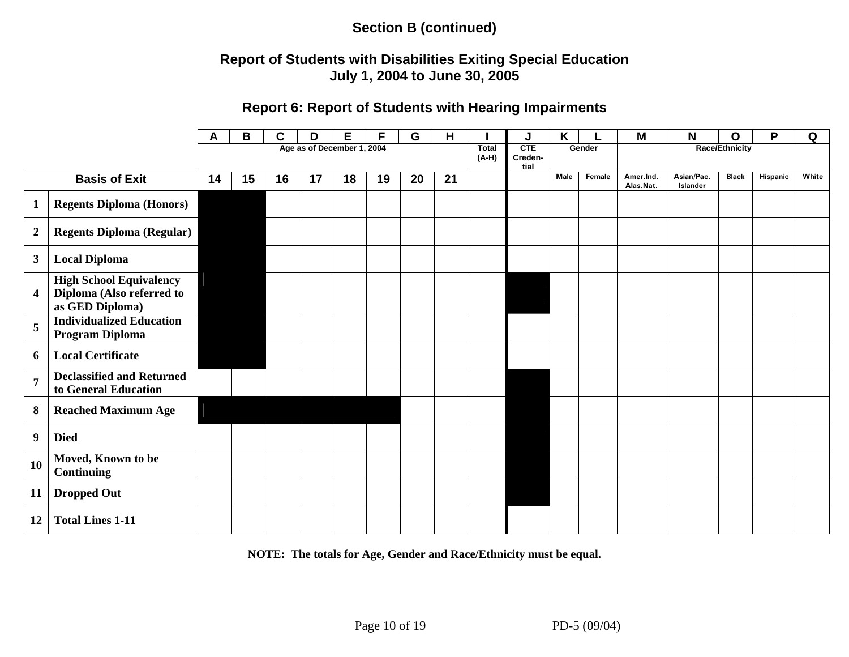#### **Report of Students with Disabilities Exiting Special Education July 1, 2004 to June 30, 2005**

#### **Report 6: Report of Students with Hearing Impairments**

|                         |                                                                                | A  | Β  | C  | D                          | Е  | F  | G  | H  |                         | J                      | Κ           |        | M                      | N                      | O                     | P        | Q     |
|-------------------------|--------------------------------------------------------------------------------|----|----|----|----------------------------|----|----|----|----|-------------------------|------------------------|-------------|--------|------------------------|------------------------|-----------------------|----------|-------|
|                         |                                                                                |    |    |    | Age as of December 1, 2004 |    |    |    |    | <b>Total</b><br>$(A-H)$ | CTE<br>Creden-<br>tial |             | Gender |                        |                        | <b>Race/Ethnicity</b> |          |       |
|                         | <b>Basis of Exit</b>                                                           | 14 | 15 | 16 | 17                         | 18 | 19 | 20 | 21 |                         |                        | <b>Male</b> | Female | Amer.Ind.<br>Alas.Nat. | Asian/Pac.<br>Islander | <b>Black</b>          | Hispanic | White |
| $\mathbf{1}$            | <b>Regents Diploma (Honors)</b>                                                |    |    |    |                            |    |    |    |    |                         |                        |             |        |                        |                        |                       |          |       |
| $\boldsymbol{2}$        | <b>Regents Diploma (Regular)</b>                                               |    |    |    |                            |    |    |    |    |                         |                        |             |        |                        |                        |                       |          |       |
| $\mathbf{3}$            | <b>Local Diploma</b>                                                           |    |    |    |                            |    |    |    |    |                         |                        |             |        |                        |                        |                       |          |       |
| $\overline{\mathbf{4}}$ | <b>High School Equivalency</b><br>Diploma (Also referred to<br>as GED Diploma) |    |    |    |                            |    |    |    |    |                         |                        |             |        |                        |                        |                       |          |       |
| 5                       | <b>Individualized Education</b><br>Program Diploma                             |    |    |    |                            |    |    |    |    |                         |                        |             |        |                        |                        |                       |          |       |
| 6                       | <b>Local Certificate</b>                                                       |    |    |    |                            |    |    |    |    |                         |                        |             |        |                        |                        |                       |          |       |
| $\overline{7}$          | <b>Declassified and Returned</b><br>to General Education                       |    |    |    |                            |    |    |    |    |                         |                        |             |        |                        |                        |                       |          |       |
| 8                       | <b>Reached Maximum Age</b>                                                     |    |    |    |                            |    |    |    |    |                         |                        |             |        |                        |                        |                       |          |       |
| 9                       | <b>Died</b>                                                                    |    |    |    |                            |    |    |    |    |                         |                        |             |        |                        |                        |                       |          |       |
| 10                      | Moved, Known to be<br><b>Continuing</b>                                        |    |    |    |                            |    |    |    |    |                         |                        |             |        |                        |                        |                       |          |       |
| 11                      | <b>Dropped Out</b>                                                             |    |    |    |                            |    |    |    |    |                         |                        |             |        |                        |                        |                       |          |       |
| 12                      | <b>Total Lines 1-11</b>                                                        |    |    |    |                            |    |    |    |    |                         |                        |             |        |                        |                        |                       |          |       |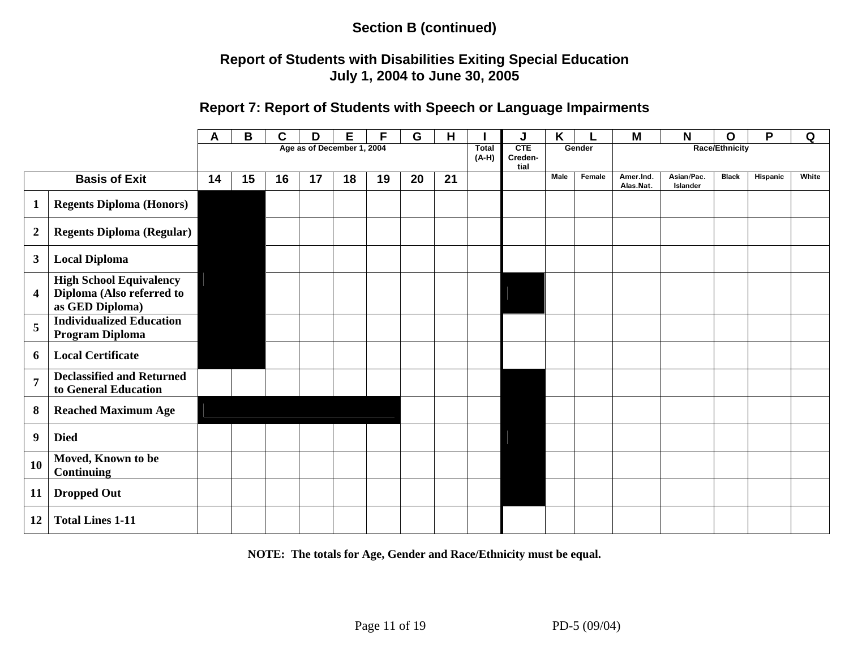### **Report of Students with Disabilities Exiting Special Education July 1, 2004 to June 30, 2005**

#### **Report 7: Report of Students with Speech or Language Impairments**

|                         |                                                                                | Α  | В  | C  | D  | Е                          | F  | G  | н  |                         | J                      | Κ    |        | M                      | N                      | O              | P        | Q     |
|-------------------------|--------------------------------------------------------------------------------|----|----|----|----|----------------------------|----|----|----|-------------------------|------------------------|------|--------|------------------------|------------------------|----------------|----------|-------|
|                         |                                                                                |    |    |    |    | Age as of December 1, 2004 |    |    |    | <b>Total</b><br>$(A-H)$ | CTE<br>Creden-<br>tial |      | Gender |                        |                        | Race/Ethnicity |          |       |
|                         | <b>Basis of Exit</b>                                                           | 14 | 15 | 16 | 17 | 18                         | 19 | 20 | 21 |                         |                        | Male | Female | Amer.Ind.<br>Alas.Nat. | Asian/Pac.<br>Islander | <b>Black</b>   | Hispanic | White |
| $\mathbf{1}$            | <b>Regents Diploma (Honors)</b>                                                |    |    |    |    |                            |    |    |    |                         |                        |      |        |                        |                        |                |          |       |
| $\boldsymbol{2}$        | <b>Regents Diploma (Regular)</b>                                               |    |    |    |    |                            |    |    |    |                         |                        |      |        |                        |                        |                |          |       |
| 3                       | <b>Local Diploma</b>                                                           |    |    |    |    |                            |    |    |    |                         |                        |      |        |                        |                        |                |          |       |
| $\overline{\mathbf{4}}$ | <b>High School Equivalency</b><br>Diploma (Also referred to<br>as GED Diploma) |    |    |    |    |                            |    |    |    |                         |                        |      |        |                        |                        |                |          |       |
| 5                       | <b>Individualized Education</b><br>Program Diploma                             |    |    |    |    |                            |    |    |    |                         |                        |      |        |                        |                        |                |          |       |
| 6                       | <b>Local Certificate</b>                                                       |    |    |    |    |                            |    |    |    |                         |                        |      |        |                        |                        |                |          |       |
| $\overline{7}$          | <b>Declassified and Returned</b><br>to General Education                       |    |    |    |    |                            |    |    |    |                         |                        |      |        |                        |                        |                |          |       |
| 8                       | <b>Reached Maximum Age</b>                                                     |    |    |    |    |                            |    |    |    |                         |                        |      |        |                        |                        |                |          |       |
| 9                       | <b>Died</b>                                                                    |    |    |    |    |                            |    |    |    |                         |                        |      |        |                        |                        |                |          |       |
| 10                      | Moved, Known to be<br><b>Continuing</b>                                        |    |    |    |    |                            |    |    |    |                         |                        |      |        |                        |                        |                |          |       |
| 11                      | <b>Dropped Out</b>                                                             |    |    |    |    |                            |    |    |    |                         |                        |      |        |                        |                        |                |          |       |
| 12                      | <b>Total Lines 1-11</b>                                                        |    |    |    |    |                            |    |    |    |                         |                        |      |        |                        |                        |                |          |       |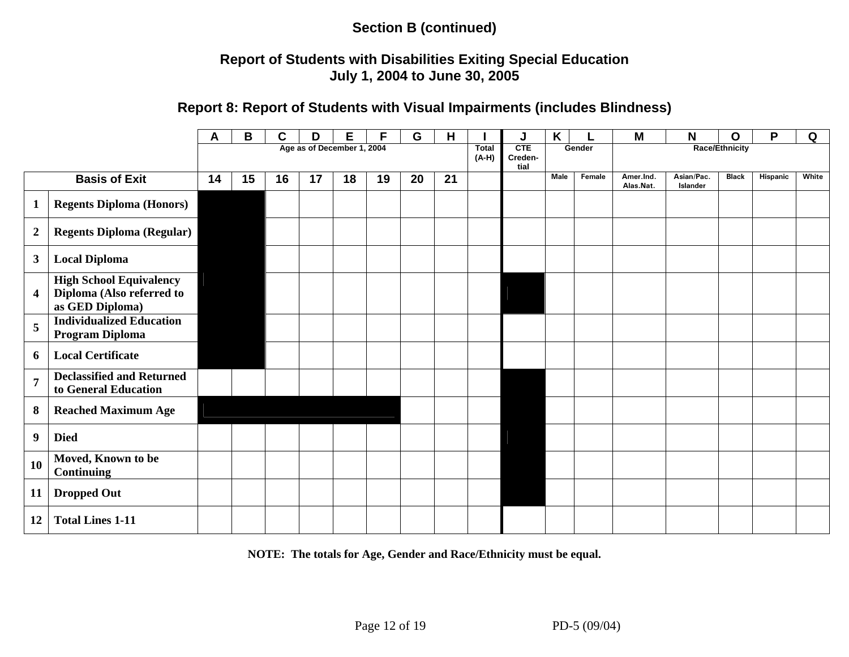#### **Report of Students with Disabilities Exiting Special Education July 1, 2004 to June 30, 2005**

#### **Report 8: Report of Students with Visual Impairments (includes Blindness)**

|                            |                                                                                | Α  | B  | C  | D  | Е  | F  | G  | Н  |  | J                             | K    |        | M                      | N                      | O                     | P        | Q     |
|----------------------------|--------------------------------------------------------------------------------|----|----|----|----|----|----|----|----|--|-------------------------------|------|--------|------------------------|------------------------|-----------------------|----------|-------|
| Age as of December 1, 2004 |                                                                                |    |    |    |    |    |    |    |    |  | <b>CTE</b><br>Creden-<br>tial |      | Gender |                        |                        | <b>Race/Ethnicity</b> |          |       |
|                            | <b>Basis of Exit</b>                                                           | 14 | 15 | 16 | 17 | 18 | 19 | 20 | 21 |  |                               | Male | Female | Amer.Ind.<br>Alas.Nat. | Asian/Pac.<br>Islander | <b>Black</b>          | Hispanic | White |
| $\mathbf{1}$               | <b>Regents Diploma (Honors)</b>                                                |    |    |    |    |    |    |    |    |  |                               |      |        |                        |                        |                       |          |       |
| $\boldsymbol{2}$           | <b>Regents Diploma (Regular)</b>                                               |    |    |    |    |    |    |    |    |  |                               |      |        |                        |                        |                       |          |       |
| $\mathbf{3}$               | <b>Local Diploma</b>                                                           |    |    |    |    |    |    |    |    |  |                               |      |        |                        |                        |                       |          |       |
| $\overline{\mathbf{4}}$    | <b>High School Equivalency</b><br>Diploma (Also referred to<br>as GED Diploma) |    |    |    |    |    |    |    |    |  |                               |      |        |                        |                        |                       |          |       |
| 5                          | <b>Individualized Education</b><br>Program Diploma                             |    |    |    |    |    |    |    |    |  |                               |      |        |                        |                        |                       |          |       |
| 6                          | <b>Local Certificate</b>                                                       |    |    |    |    |    |    |    |    |  |                               |      |        |                        |                        |                       |          |       |
| $\overline{7}$             | <b>Declassified and Returned</b><br>to General Education                       |    |    |    |    |    |    |    |    |  |                               |      |        |                        |                        |                       |          |       |
| 8                          | <b>Reached Maximum Age</b>                                                     |    |    |    |    |    |    |    |    |  |                               |      |        |                        |                        |                       |          |       |
| $\boldsymbol{9}$           | <b>Died</b>                                                                    |    |    |    |    |    |    |    |    |  |                               |      |        |                        |                        |                       |          |       |
| 10                         | Moved, Known to be<br><b>Continuing</b>                                        |    |    |    |    |    |    |    |    |  |                               |      |        |                        |                        |                       |          |       |
| 11                         | <b>Dropped Out</b>                                                             |    |    |    |    |    |    |    |    |  |                               |      |        |                        |                        |                       |          |       |
| 12                         | <b>Total Lines 1-11</b>                                                        |    |    |    |    |    |    |    |    |  |                               |      |        |                        |                        |                       |          |       |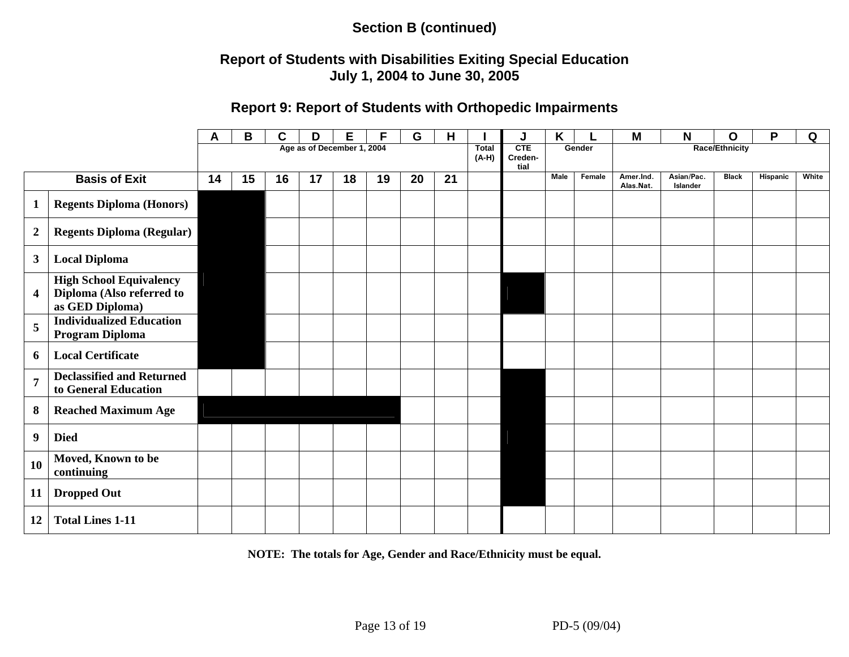### **Report of Students with Disabilities Exiting Special Education July 1, 2004 to June 30, 2005**

#### **Report 9: Report of Students with Orthopedic Impairments**

|                            |                                                                                | A  | В  | C  | D  | Е  | F  | G  | Н  |                  | J                      | K           |        | M                      | N                      | O            | P        | Q     |  |
|----------------------------|--------------------------------------------------------------------------------|----|----|----|----|----|----|----|----|------------------|------------------------|-------------|--------|------------------------|------------------------|--------------|----------|-------|--|
| Age as of December 1, 2004 |                                                                                |    |    |    |    |    |    |    |    | Total<br>$(A-H)$ | CTE<br>Creden-<br>tial | Gender      |        | <b>Race/Ethnicity</b>  |                        |              |          |       |  |
|                            | <b>Basis of Exit</b>                                                           | 14 | 15 | 16 | 17 | 18 | 19 | 20 | 21 |                  |                        | <b>Male</b> | Female | Amer.Ind.<br>Alas.Nat. | Asian/Pac.<br>Islander | <b>Black</b> | Hispanic | White |  |
| 1                          | <b>Regents Diploma (Honors)</b>                                                |    |    |    |    |    |    |    |    |                  |                        |             |        |                        |                        |              |          |       |  |
| $\boldsymbol{2}$           | <b>Regents Diploma (Regular)</b>                                               |    |    |    |    |    |    |    |    |                  |                        |             |        |                        |                        |              |          |       |  |
| 3                          | <b>Local Diploma</b>                                                           |    |    |    |    |    |    |    |    |                  |                        |             |        |                        |                        |              |          |       |  |
| 4                          | <b>High School Equivalency</b><br>Diploma (Also referred to<br>as GED Diploma) |    |    |    |    |    |    |    |    |                  |                        |             |        |                        |                        |              |          |       |  |
| 5                          | <b>Individualized Education</b><br><b>Program Diploma</b>                      |    |    |    |    |    |    |    |    |                  |                        |             |        |                        |                        |              |          |       |  |
| 6                          | <b>Local Certificate</b>                                                       |    |    |    |    |    |    |    |    |                  |                        |             |        |                        |                        |              |          |       |  |
| $\overline{7}$             | <b>Declassified and Returned</b><br>to General Education                       |    |    |    |    |    |    |    |    |                  |                        |             |        |                        |                        |              |          |       |  |
| 8                          | <b>Reached Maximum Age</b>                                                     |    |    |    |    |    |    |    |    |                  |                        |             |        |                        |                        |              |          |       |  |
| 9                          | <b>Died</b>                                                                    |    |    |    |    |    |    |    |    |                  |                        |             |        |                        |                        |              |          |       |  |
| 10                         | Moved, Known to be<br>continuing                                               |    |    |    |    |    |    |    |    |                  |                        |             |        |                        |                        |              |          |       |  |
| 11                         | <b>Dropped Out</b>                                                             |    |    |    |    |    |    |    |    |                  |                        |             |        |                        |                        |              |          |       |  |
| 12                         | <b>Total Lines 1-11</b>                                                        |    |    |    |    |    |    |    |    |                  |                        |             |        |                        |                        |              |          |       |  |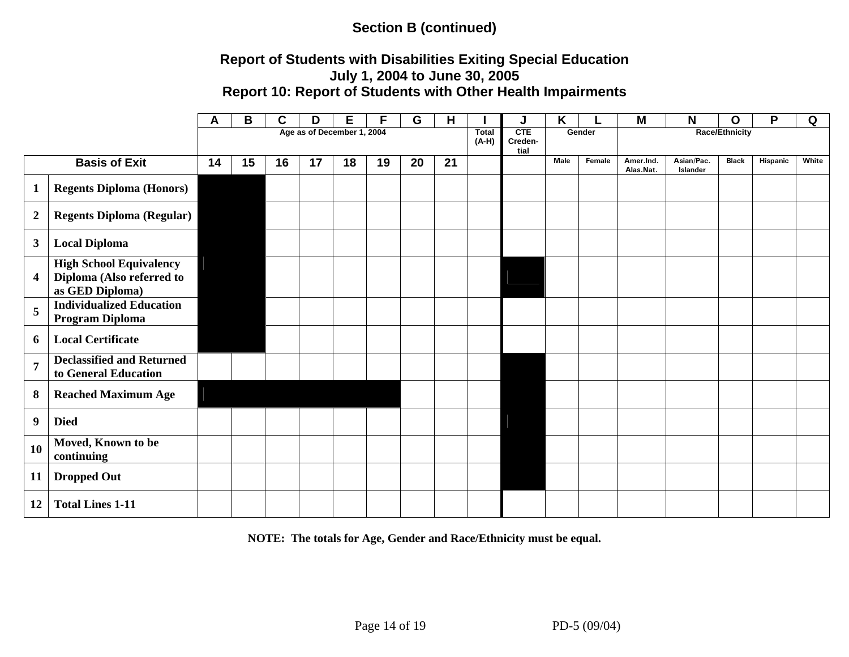#### **Report of Students with Disabilities Exiting Special Education July 1, 2004 to June 30, 2005 Report 10: Report of Students with Other Health Impairments**

|                            |                                                                                | A  | B  | C  | D  | Е  | F  | G  | Н  |  | J                                | K    |        | M                      | N                      | O            | P        | Q     |
|----------------------------|--------------------------------------------------------------------------------|----|----|----|----|----|----|----|----|--|----------------------------------|------|--------|------------------------|------------------------|--------------|----------|-------|
| Age as of December 1, 2004 |                                                                                |    |    |    |    |    |    |    |    |  | CTE<br>Gender<br>Creden-<br>tial |      |        |                        | <b>Race/Ethnicity</b>  |              |          |       |
|                            | <b>Basis of Exit</b>                                                           | 14 | 15 | 16 | 17 | 18 | 19 | 20 | 21 |  |                                  | Male | Female | Amer.Ind.<br>Alas.Nat. | Asian/Pac.<br>Islander | <b>Black</b> | Hispanic | White |
| $\mathbf{1}$               | <b>Regents Diploma (Honors)</b>                                                |    |    |    |    |    |    |    |    |  |                                  |      |        |                        |                        |              |          |       |
| $\boldsymbol{2}$           | <b>Regents Diploma (Regular)</b>                                               |    |    |    |    |    |    |    |    |  |                                  |      |        |                        |                        |              |          |       |
| $\mathbf{3}$               | <b>Local Diploma</b>                                                           |    |    |    |    |    |    |    |    |  |                                  |      |        |                        |                        |              |          |       |
| $\overline{\mathbf{4}}$    | <b>High School Equivalency</b><br>Diploma (Also referred to<br>as GED Diploma) |    |    |    |    |    |    |    |    |  |                                  |      |        |                        |                        |              |          |       |
| $\overline{5}$             | <b>Individualized Education</b><br><b>Program Diploma</b>                      |    |    |    |    |    |    |    |    |  |                                  |      |        |                        |                        |              |          |       |
| 6                          | <b>Local Certificate</b>                                                       |    |    |    |    |    |    |    |    |  |                                  |      |        |                        |                        |              |          |       |
| $\overline{7}$             | <b>Declassified and Returned</b><br>to General Education                       |    |    |    |    |    |    |    |    |  |                                  |      |        |                        |                        |              |          |       |
| $\boldsymbol{8}$           | <b>Reached Maximum Age</b>                                                     |    |    |    |    |    |    |    |    |  |                                  |      |        |                        |                        |              |          |       |
| $\boldsymbol{9}$           | <b>Died</b>                                                                    |    |    |    |    |    |    |    |    |  |                                  |      |        |                        |                        |              |          |       |
| 10                         | Moved, Known to be<br>continuing                                               |    |    |    |    |    |    |    |    |  |                                  |      |        |                        |                        |              |          |       |
| 11                         | <b>Dropped Out</b>                                                             |    |    |    |    |    |    |    |    |  |                                  |      |        |                        |                        |              |          |       |
| 12                         | <b>Total Lines 1-11</b>                                                        |    |    |    |    |    |    |    |    |  |                                  |      |        |                        |                        |              |          |       |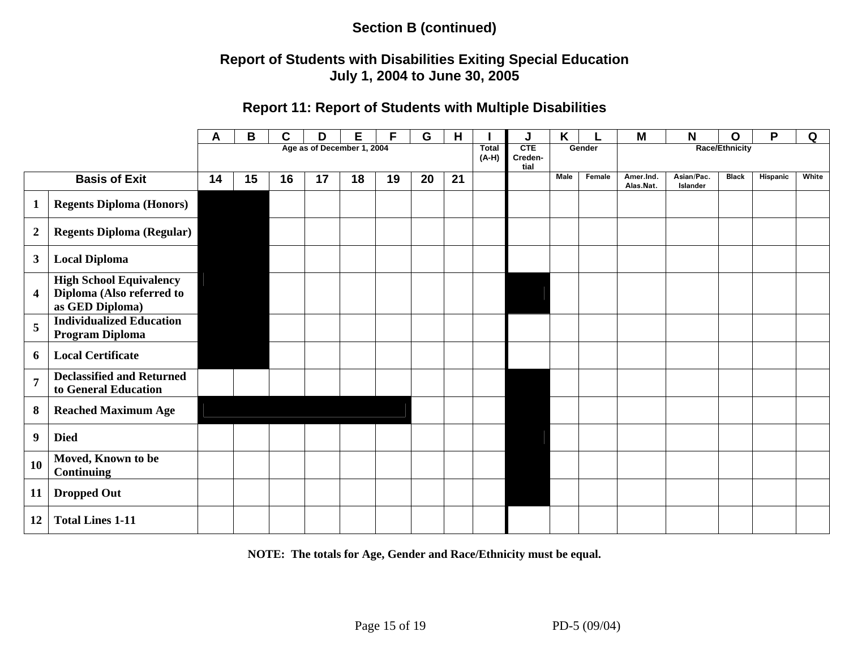### **Report of Students with Disabilities Exiting Special Education July 1, 2004 to June 30, 2005**

# **Report 11: Report of Students with Multiple Disabilities**

|                            |                                                                                | A  | B  | C  | D  | Е  |    | G  | н  |                         | J                      | Κ    |        | M                      | N                      | O            | P        | Q     |
|----------------------------|--------------------------------------------------------------------------------|----|----|----|----|----|----|----|----|-------------------------|------------------------|------|--------|------------------------|------------------------|--------------|----------|-------|
| Age as of December 1, 2004 |                                                                                |    |    |    |    |    |    |    |    | <b>Total</b><br>$(A-H)$ | CTE<br>Creden-<br>tial |      | Gender | Race/Ethnicity         |                        |              |          |       |
|                            | <b>Basis of Exit</b>                                                           | 14 | 15 | 16 | 17 | 18 | 19 | 20 | 21 |                         |                        | Male | Female | Amer.Ind.<br>Alas.Nat. | Asian/Pac.<br>Islander | <b>Black</b> | Hispanic | White |
| 1                          | <b>Regents Diploma (Honors)</b>                                                |    |    |    |    |    |    |    |    |                         |                        |      |        |                        |                        |              |          |       |
| $\boldsymbol{2}$           | <b>Regents Diploma (Regular)</b>                                               |    |    |    |    |    |    |    |    |                         |                        |      |        |                        |                        |              |          |       |
| 3                          | <b>Local Diploma</b>                                                           |    |    |    |    |    |    |    |    |                         |                        |      |        |                        |                        |              |          |       |
| $\overline{\mathbf{4}}$    | <b>High School Equivalency</b><br>Diploma (Also referred to<br>as GED Diploma) |    |    |    |    |    |    |    |    |                         |                        |      |        |                        |                        |              |          |       |
| 5                          | <b>Individualized Education</b><br>Program Diploma                             |    |    |    |    |    |    |    |    |                         |                        |      |        |                        |                        |              |          |       |
| 6                          | <b>Local Certificate</b>                                                       |    |    |    |    |    |    |    |    |                         |                        |      |        |                        |                        |              |          |       |
| $\overline{7}$             | <b>Declassified and Returned</b><br>to General Education                       |    |    |    |    |    |    |    |    |                         |                        |      |        |                        |                        |              |          |       |
| 8                          | <b>Reached Maximum Age</b>                                                     |    |    |    |    |    |    |    |    |                         |                        |      |        |                        |                        |              |          |       |
| 9                          | <b>Died</b>                                                                    |    |    |    |    |    |    |    |    |                         |                        |      |        |                        |                        |              |          |       |
| 10                         | Moved, Known to be<br><b>Continuing</b>                                        |    |    |    |    |    |    |    |    |                         |                        |      |        |                        |                        |              |          |       |
| 11                         | <b>Dropped Out</b>                                                             |    |    |    |    |    |    |    |    |                         |                        |      |        |                        |                        |              |          |       |
| 12                         | <b>Total Lines 1-11</b>                                                        |    |    |    |    |    |    |    |    |                         |                        |      |        |                        |                        |              |          |       |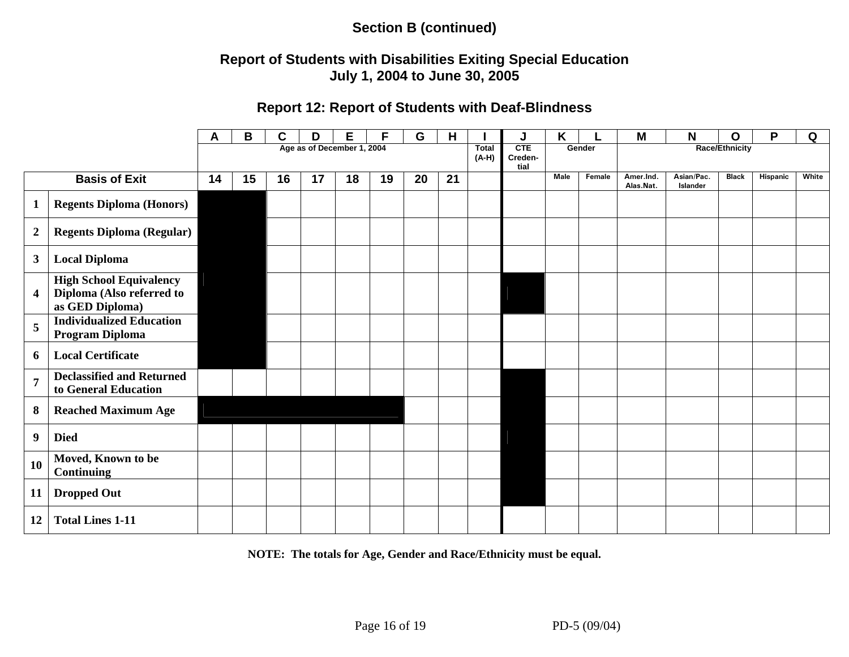### **Report of Students with Disabilities Exiting Special Education July 1, 2004 to June 30, 2005**

#### **Report 12: Report of Students with Deaf-Blindness**

|                  |                                                                                | A  | B  | C  | D  | Е                          | E  | G  | Н  |                         | J                      | Κ    |        | Μ                      | Ν                      | O                     | P        | Q     |
|------------------|--------------------------------------------------------------------------------|----|----|----|----|----------------------------|----|----|----|-------------------------|------------------------|------|--------|------------------------|------------------------|-----------------------|----------|-------|
|                  |                                                                                |    |    |    |    | Age as of December 1, 2004 |    |    |    | <b>Total</b><br>$(A-H)$ | CTE<br>Creden-<br>tial |      | Gender |                        |                        | <b>Race/Ethnicity</b> |          |       |
|                  | <b>Basis of Exit</b>                                                           | 14 | 15 | 16 | 17 | 18                         | 19 | 20 | 21 |                         |                        | Male | Female | Amer.Ind.<br>Alas.Nat. | Asian/Pac.<br>Islander | <b>Black</b>          | Hispanic | White |
| 1                | <b>Regents Diploma (Honors)</b>                                                |    |    |    |    |                            |    |    |    |                         |                        |      |        |                        |                        |                       |          |       |
| $\boldsymbol{2}$ | <b>Regents Diploma (Regular)</b>                                               |    |    |    |    |                            |    |    |    |                         |                        |      |        |                        |                        |                       |          |       |
| 3                | <b>Local Diploma</b>                                                           |    |    |    |    |                            |    |    |    |                         |                        |      |        |                        |                        |                       |          |       |
| 4                | <b>High School Equivalency</b><br>Diploma (Also referred to<br>as GED Diploma) |    |    |    |    |                            |    |    |    |                         |                        |      |        |                        |                        |                       |          |       |
| 5                | <b>Individualized Education</b><br>Program Diploma                             |    |    |    |    |                            |    |    |    |                         |                        |      |        |                        |                        |                       |          |       |
| 6                | <b>Local Certificate</b>                                                       |    |    |    |    |                            |    |    |    |                         |                        |      |        |                        |                        |                       |          |       |
| $\overline{7}$   | <b>Declassified and Returned</b><br>to General Education                       |    |    |    |    |                            |    |    |    |                         |                        |      |        |                        |                        |                       |          |       |
| 8                | <b>Reached Maximum Age</b>                                                     |    |    |    |    |                            |    |    |    |                         |                        |      |        |                        |                        |                       |          |       |
| 9                | <b>Died</b>                                                                    |    |    |    |    |                            |    |    |    |                         |                        |      |        |                        |                        |                       |          |       |
| 10               | Moved, Known to be<br><b>Continuing</b>                                        |    |    |    |    |                            |    |    |    |                         |                        |      |        |                        |                        |                       |          |       |
| 11               | <b>Dropped Out</b>                                                             |    |    |    |    |                            |    |    |    |                         |                        |      |        |                        |                        |                       |          |       |
| 12               | <b>Total Lines 1-11</b>                                                        |    |    |    |    |                            |    |    |    |                         |                        |      |        |                        |                        |                       |          |       |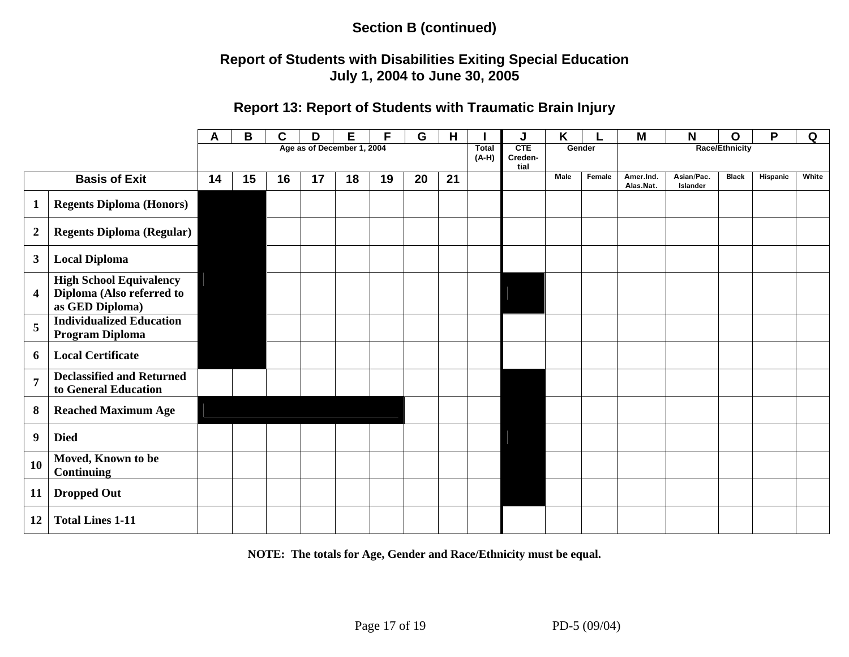### **Report of Students with Disabilities Exiting Special Education July 1, 2004 to June 30, 2005**

### **Report 13: Report of Students with Traumatic Brain Injury**

|                         |                                                                                | Α                          | B  | C  | D                       | Е                             |    | G      | н  |  | J              | Κ           |        | M                      | N                      | O            | P        | Q     |
|-------------------------|--------------------------------------------------------------------------------|----------------------------|----|----|-------------------------|-------------------------------|----|--------|----|--|----------------|-------------|--------|------------------------|------------------------|--------------|----------|-------|
|                         |                                                                                | Age as of December 1, 2004 |    |    | <b>Total</b><br>$(A-H)$ | <b>CTE</b><br>Creden-<br>tial |    | Gender |    |  | Race/Ethnicity |             |        |                        |                        |              |          |       |
|                         | <b>Basis of Exit</b>                                                           | 14                         | 15 | 16 | 17                      | 18                            | 19 | 20     | 21 |  |                | <b>Male</b> | Female | Amer.Ind.<br>Alas.Nat. | Asian/Pac.<br>Islander | <b>Black</b> | Hispanic | White |
| $\mathbf 1$             | <b>Regents Diploma (Honors)</b>                                                |                            |    |    |                         |                               |    |        |    |  |                |             |        |                        |                        |              |          |       |
| $\boldsymbol{2}$        | <b>Regents Diploma (Regular)</b>                                               |                            |    |    |                         |                               |    |        |    |  |                |             |        |                        |                        |              |          |       |
| $\boldsymbol{3}$        | <b>Local Diploma</b>                                                           |                            |    |    |                         |                               |    |        |    |  |                |             |        |                        |                        |              |          |       |
| $\overline{\mathbf{4}}$ | <b>High School Equivalency</b><br>Diploma (Also referred to<br>as GED Diploma) |                            |    |    |                         |                               |    |        |    |  |                |             |        |                        |                        |              |          |       |
| 5                       | <b>Individualized Education</b><br>Program Diploma                             |                            |    |    |                         |                               |    |        |    |  |                |             |        |                        |                        |              |          |       |
| 6                       | <b>Local Certificate</b>                                                       |                            |    |    |                         |                               |    |        |    |  |                |             |        |                        |                        |              |          |       |
| $\overline{7}$          | <b>Declassified and Returned</b><br>to General Education                       |                            |    |    |                         |                               |    |        |    |  |                |             |        |                        |                        |              |          |       |
| 8                       | <b>Reached Maximum Age</b>                                                     |                            |    |    |                         |                               |    |        |    |  |                |             |        |                        |                        |              |          |       |
| $\boldsymbol{9}$        | <b>Died</b>                                                                    |                            |    |    |                         |                               |    |        |    |  |                |             |        |                        |                        |              |          |       |
| 10                      | Moved, Known to be<br><b>Continuing</b>                                        |                            |    |    |                         |                               |    |        |    |  |                |             |        |                        |                        |              |          |       |
| 11                      | <b>Dropped Out</b>                                                             |                            |    |    |                         |                               |    |        |    |  |                |             |        |                        |                        |              |          |       |
| 12                      | <b>Total Lines 1-11</b>                                                        |                            |    |    |                         |                               |    |        |    |  |                |             |        |                        |                        |              |          |       |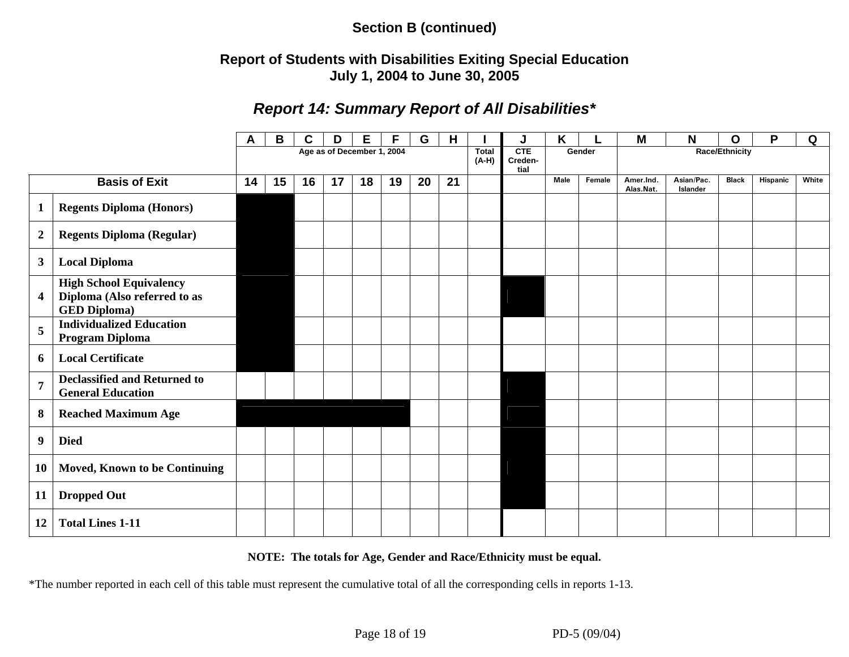### **Report of Students with Disabilities Exiting Special Education July 1, 2004 to June 30, 2005**

# *Report 14: Summary Report of All Disabilities\**

|                  |                                                                                       | A  | B  | C  | D  | Е                          | F  | G  | H  |                         | J                             | Κ           |        | Μ                      | N                      | $\mathbf 0$           | P        | Q     |
|------------------|---------------------------------------------------------------------------------------|----|----|----|----|----------------------------|----|----|----|-------------------------|-------------------------------|-------------|--------|------------------------|------------------------|-----------------------|----------|-------|
|                  |                                                                                       |    |    |    |    | Age as of December 1, 2004 |    |    |    | <b>Total</b><br>$(A-H)$ | <b>CTE</b><br>Creden-<br>tial |             | Gender |                        |                        | <b>Race/Ethnicity</b> |          |       |
|                  | <b>Basis of Exit</b>                                                                  | 14 | 15 | 16 | 17 | 18                         | 19 | 20 | 21 |                         |                               | <b>Male</b> | Female | Amer.Ind.<br>Alas.Nat. | Asian/Pac.<br>Islander | <b>Black</b>          | Hispanic | White |
|                  | <b>Regents Diploma (Honors)</b>                                                       |    |    |    |    |                            |    |    |    |                         |                               |             |        |                        |                        |                       |          |       |
| $\boldsymbol{2}$ | <b>Regents Diploma (Regular)</b>                                                      |    |    |    |    |                            |    |    |    |                         |                               |             |        |                        |                        |                       |          |       |
| $\mathbf{3}$     | <b>Local Diploma</b>                                                                  |    |    |    |    |                            |    |    |    |                         |                               |             |        |                        |                        |                       |          |       |
| 4                | <b>High School Equivalency</b><br>Diploma (Also referred to as<br><b>GED Diploma)</b> |    |    |    |    |                            |    |    |    |                         |                               |             |        |                        |                        |                       |          |       |
| 5                | <b>Individualized Education</b><br>Program Diploma                                    |    |    |    |    |                            |    |    |    |                         |                               |             |        |                        |                        |                       |          |       |
| 6                | <b>Local Certificate</b>                                                              |    |    |    |    |                            |    |    |    |                         |                               |             |        |                        |                        |                       |          |       |
| $\overline{7}$   | <b>Declassified and Returned to</b><br><b>General Education</b>                       |    |    |    |    |                            |    |    |    |                         |                               |             |        |                        |                        |                       |          |       |
| 8                | <b>Reached Maximum Age</b>                                                            |    |    |    |    |                            |    |    |    |                         |                               |             |        |                        |                        |                       |          |       |
| 9                | <b>Died</b>                                                                           |    |    |    |    |                            |    |    |    |                         |                               |             |        |                        |                        |                       |          |       |
| <b>10</b>        | <b>Moved, Known to be Continuing</b>                                                  |    |    |    |    |                            |    |    |    |                         |                               |             |        |                        |                        |                       |          |       |
| 11               | <b>Dropped Out</b>                                                                    |    |    |    |    |                            |    |    |    |                         |                               |             |        |                        |                        |                       |          |       |
| 12               | <b>Total Lines 1-11</b>                                                               |    |    |    |    |                            |    |    |    |                         |                               |             |        |                        |                        |                       |          |       |

#### **NOTE: The totals for Age, Gender and Race/Ethnicity must be equal.**

\*The number reported in each cell of this table must represent the cumulative total of all the corresponding cells in reports 1-13.